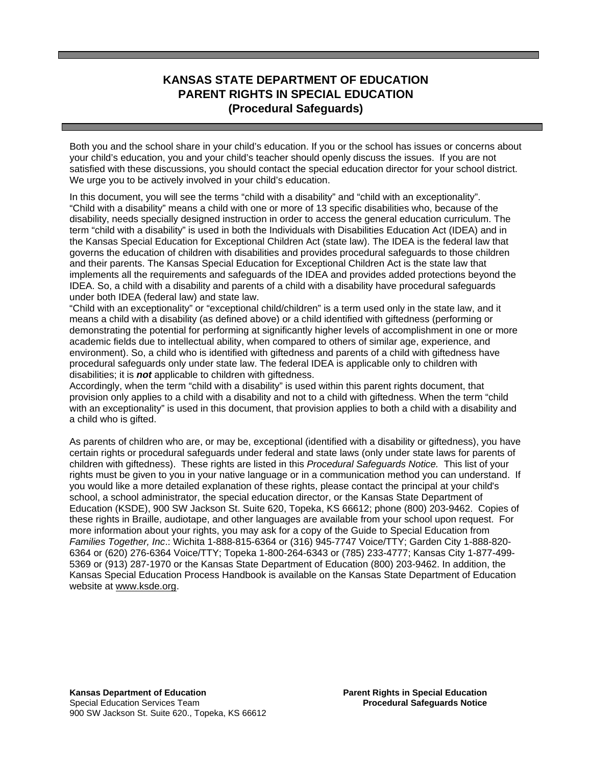# **KANSAS STATE DEPARTMENT OF EDUCATION PARENT RIGHTS IN SPECIAL EDUCATION (Procedural Safeguards)**

Both you and the school share in your child's education. If you or the school has issues or concerns about your child's education, you and your child's teacher should openly discuss the issues. If you are not satisfied with these discussions, you should contact the special education director for your school district. We urge you to be actively involved in your child's education.

In this document, you will see the terms "child with a disability" and "child with an exceptionality". "Child with a disability" means a child with one or more of 13 specific disabilities who, because of the disability, needs specially designed instruction in order to access the general education curriculum. The term "child with a disability" is used in both the Individuals with Disabilities Education Act (IDEA) and in the Kansas Special Education for Exceptional Children Act (state law). The IDEA is the federal law that governs the education of children with disabilities and provides procedural safeguards to those children and their parents. The Kansas Special Education for Exceptional Children Act is the state law that implements all the requirements and safeguards of the IDEA and provides added protections beyond the IDEA. So, a child with a disability and parents of a child with a disability have procedural safeguards under both IDEA (federal law) and state law.

"Child with an exceptionality" or "exceptional child/children" is a term used only in the state law, and it means a child with a disability (as defined above) or a child identified with giftedness (performing or demonstrating the potential for performing at significantly higher levels of accomplishment in one or more academic fields due to intellectual ability, when compared to others of similar age, experience, and environment). So, a child who is identified with giftedness and parents of a child with giftedness have procedural safeguards only under state law. The federal IDEA is applicable only to children with disabilities; it is *not* applicable to children with giftedness.

Accordingly, when the term "child with a disability" is used within this parent rights document, that provision only applies to a child with a disability and not to a child with giftedness. When the term "child with an exceptionality" is used in this document, that provision applies to both a child with a disability and a child who is gifted.

As parents of children who are, or may be, exceptional (identified with a disability or giftedness), you have certain rights or procedural safeguards under federal and state laws (only under state laws for parents of children with giftedness). These rights are listed in this *Procedural Safeguards Notice.* This list of your rights must be given to you in your native language or in a communication method you can understand. If you would like a more detailed explanation of these rights, please contact the principal at your child's school, a school administrator, the special education director, or the Kansas State Department of Education (KSDE), 900 SW Jackson St. Suite 620, Topeka, KS 66612; phone (800) 203-9462. Copies of these rights in Braille, audiotape, and other languages are available from your school upon request. For more information about your rights, you may ask for a copy of the Guide to Special Education from *Families Together, Inc*.: Wichita 1-888-815-6364 or (316) 945-7747 Voice/TTY; Garden City 1-888-820- 6364 or (620) 276-6364 Voice/TTY; Topeka 1-800-264-6343 or (785) 233-4777; Kansas City 1-877-499- 5369 or (913) 287-1970 or the Kansas State Department of Education (800) 203-9462. In addition, the Kansas Special Education Process Handbook is available on the Kansas State Department of Education website at [www.ksde.org.](http://www.ksde.org/)

**Kansas Department of Education <br>Special Education Services Team Algebraic Education Procedural Safeguards Notice Special Education Services Team** 900 SW Jackson St. Suite 620., Topeka, KS 66612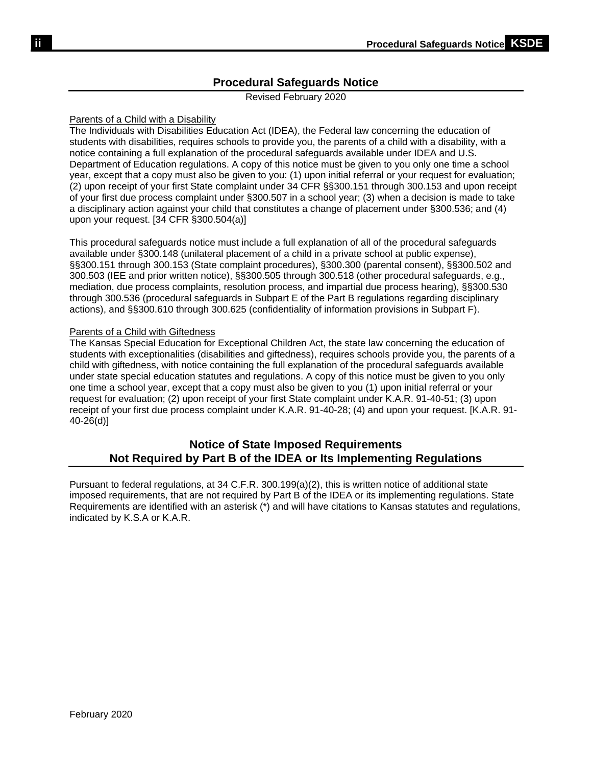# **Procedural Safeguards Notice**

Revised February 2020

## Parents of a Child with a Disability

The Individuals with Disabilities Education Act (IDEA), the Federal law concerning the education of students with disabilities, requires schools to provide you, the parents of a child with a disability, with a notice containing a full explanation of the procedural safeguards available under IDEA and U.S. Department of Education regulations. A copy of this notice must be given to you only one time a school year, except that a copy must also be given to you: (1) upon initial referral or your request for evaluation; (2) upon receipt of your first State complaint under 34 CFR §§300.151 through 300.153 and upon receipt of your first due process complaint under §300.507 in a school year; (3) when a decision is made to take a disciplinary action against your child that constitutes a change of placement under §300.536; and (4) upon your request. [34 CFR §300.504(a)]

This procedural safeguards notice must include a full explanation of all of the procedural safeguards available under §300.148 (unilateral placement of a child in a private school at public expense), §§300.151 through 300.153 (State complaint procedures), §300.300 (parental consent), §§300.502 and 300.503 (IEE and prior written notice), §§300.505 through 300.518 (other procedural safeguards, e.g., mediation, due process complaints, resolution process, and impartial due process hearing), §§300.530 through 300.536 (procedural safeguards in Subpart E of the Part B regulations regarding disciplinary actions), and §§300.610 through 300.625 (confidentiality of information provisions in Subpart F).

## Parents of a Child with Giftedness

The Kansas Special Education for Exceptional Children Act, the state law concerning the education of students with exceptionalities (disabilities and giftedness), requires schools provide you, the parents of a child with giftedness, with notice containing the full explanation of the procedural safeguards available under state special education statutes and regulations. A copy of this notice must be given to you only one time a school year, except that a copy must also be given to you (1) upon initial referral or your request for evaluation; (2) upon receipt of your first State complaint under K.A.R. 91-40-51; (3) upon receipt of your first due process complaint under K.A.R. 91-40-28; (4) and upon your request. [K.A.R. 91- 40-26(d)]

# **Notice of State Imposed Requirements Not Required by Part B of the IDEA or Its Implementing Regulations**

Pursuant to federal regulations, at 34 C.F.R. 300.199(a)(2), this is written notice of additional state imposed requirements, that are not required by Part B of the IDEA or its implementing regulations. State Requirements are identified with an asterisk (\*) and will have citations to Kansas statutes and regulations, indicated by K.S.A or K.A.R.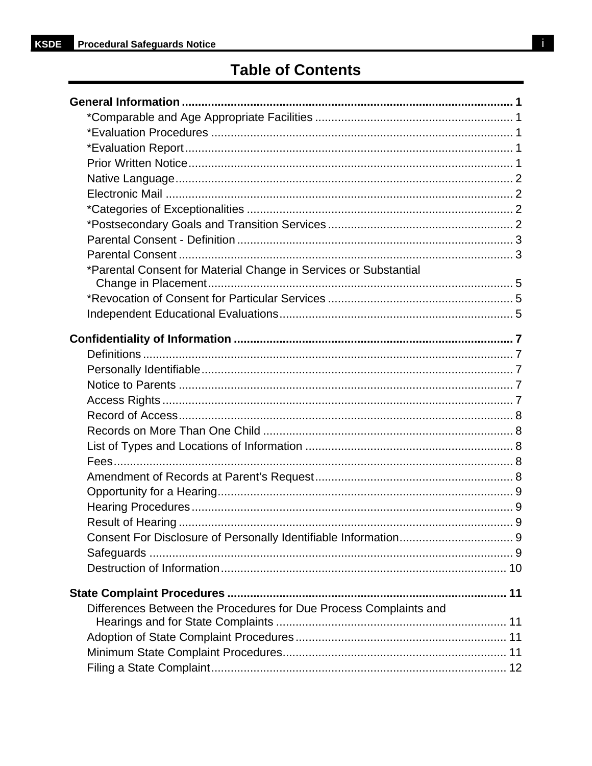# **Table of Contents**

| *Parental Consent for Material Change in Services or Substantial  |  |
|-------------------------------------------------------------------|--|
|                                                                   |  |
|                                                                   |  |
|                                                                   |  |
|                                                                   |  |
|                                                                   |  |
|                                                                   |  |
|                                                                   |  |
|                                                                   |  |
|                                                                   |  |
|                                                                   |  |
|                                                                   |  |
|                                                                   |  |
|                                                                   |  |
|                                                                   |  |
|                                                                   |  |
|                                                                   |  |
|                                                                   |  |
|                                                                   |  |
|                                                                   |  |
|                                                                   |  |
|                                                                   |  |
| Differences Between the Procedures for Due Process Complaints and |  |
|                                                                   |  |
|                                                                   |  |
|                                                                   |  |
|                                                                   |  |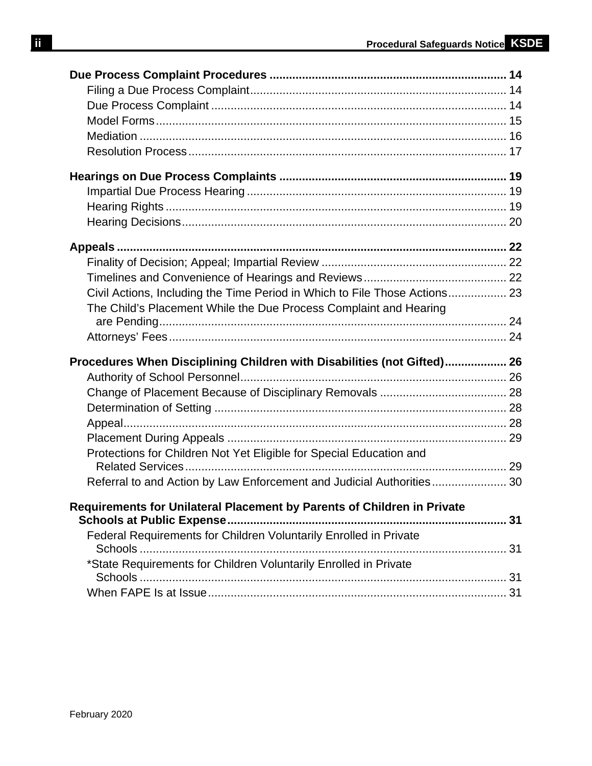| Civil Actions, Including the Time Period in Which to File Those Actions 23 |  |
|----------------------------------------------------------------------------|--|
| The Child's Placement While the Due Process Complaint and Hearing          |  |
|                                                                            |  |
|                                                                            |  |
| Procedures When Disciplining Children with Disabilities (not Gifted) 26    |  |
|                                                                            |  |
|                                                                            |  |
|                                                                            |  |
|                                                                            |  |
|                                                                            |  |
| Protections for Children Not Yet Eligible for Special Education and        |  |
|                                                                            |  |
| Referral to and Action by Law Enforcement and Judicial Authorities 30      |  |
| Requirements for Unilateral Placement by Parents of Children in Private    |  |
|                                                                            |  |
| Federal Requirements for Children Voluntarily Enrolled in Private          |  |
|                                                                            |  |
| *State Requirements for Children Voluntarily Enrolled in Private           |  |
|                                                                            |  |
|                                                                            |  |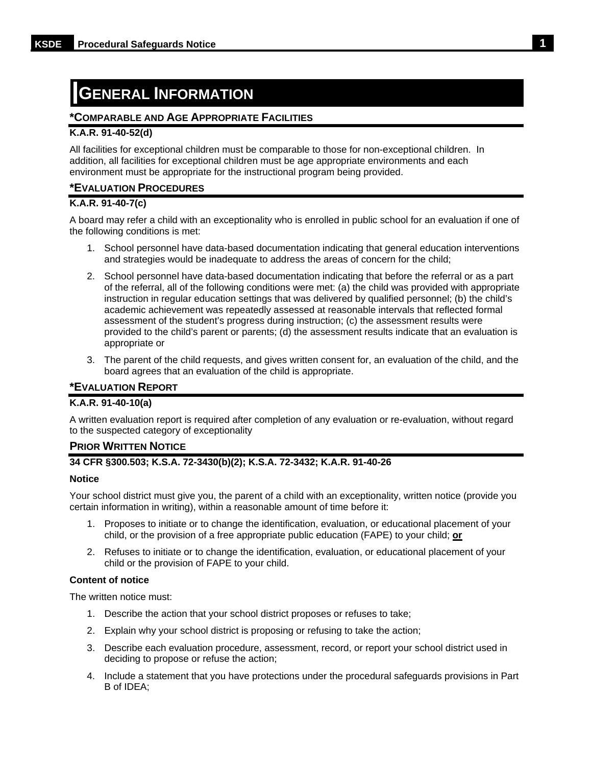# <span id="page-4-0"></span>**GENERAL INFORMATION**

## <span id="page-4-1"></span>**\*COMPARABLE AND AGE APPROPRIATE FACILITIES**

## **K.A.R. 91-40-52(d)**

All facilities for exceptional children must be comparable to those for non-exceptional children. In addition, all facilities for exceptional children must be age appropriate environments and each environment must be appropriate for the instructional program being provided.

## <span id="page-4-2"></span>**\*EVALUATION PROCEDURES**

## **K.A.R. 91-40-7(c)**

A board may refer a child with an exceptionality who is enrolled in public school for an evaluation if one of the following conditions is met:

- 1. School personnel have data-based documentation indicating that general education interventions and strategies would be inadequate to address the areas of concern for the child;
- 2. School personnel have data-based documentation indicating that before the referral or as a part of the referral, all of the following conditions were met: (a) the child was provided with appropriate instruction in regular education settings that was delivered by qualified personnel; (b) the child's academic achievement was repeatedly assessed at reasonable intervals that reflected formal assessment of the student's progress during instruction; (c) the assessment results were provided to the child's parent or parents; (d) the assessment results indicate that an evaluation is appropriate or
- 3. The parent of the child requests, and gives written consent for, an evaluation of the child, and the board agrees that an evaluation of the child is appropriate.

## <span id="page-4-3"></span>**\*EVALUATION REPORT**

## **K.A.R. 91-40-10(a)**

A written evaluation report is required after completion of any evaluation or re-evaluation, without regard to the suspected category of exceptionality

## <span id="page-4-4"></span>**PRIOR WRITTEN NOTICE**

## **34 CFR §300.503; K.S.A. 72-3430(b)(2); K.S.A. 72-3432; K.A.R. 91-40-26**

#### **Notice**

Your school district must give you, the parent of a child with an exceptionality, written notice (provide you certain information in writing), within a reasonable amount of time before it:

- 1. Proposes to initiate or to change the identification, evaluation, or educational placement of your child, or the provision of a free appropriate public education (FAPE) to your child; **or**
- 2. Refuses to initiate or to change the identification, evaluation, or educational placement of your child or the provision of FAPE to your child.

#### **Content of notice**

The written notice must:

- 1. Describe the action that your school district proposes or refuses to take;
- 2. Explain why your school district is proposing or refusing to take the action;
- 3. Describe each evaluation procedure, assessment, record, or report your school district used in deciding to propose or refuse the action;
- 4. Include a statement that you have protections under the procedural safeguards provisions in Part B of IDEA;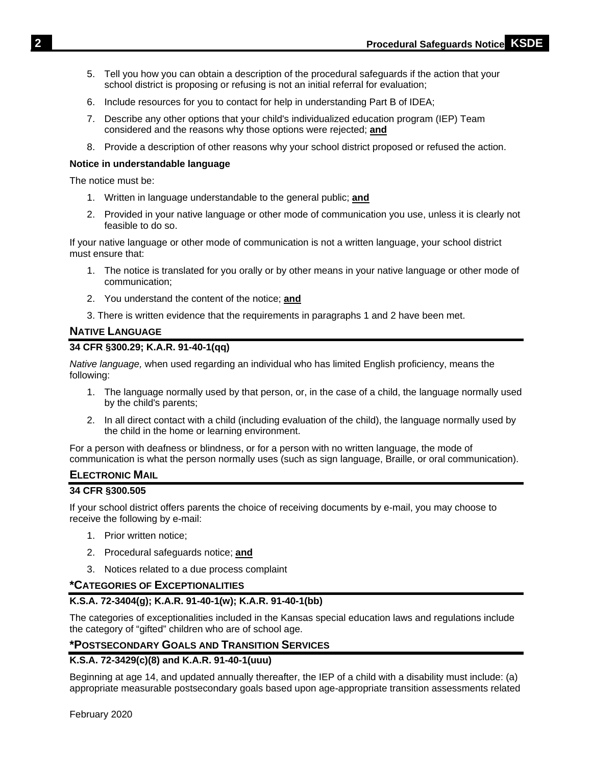- 5. Tell you how you can obtain a description of the procedural safeguards if the action that your school district is proposing or refusing is not an initial referral for evaluation;
- 6. Include resources for you to contact for help in understanding Part B of IDEA;
- 7. Describe any other options that your child's individualized education program (IEP) Team considered and the reasons why those options were rejected; **and**
- 8. Provide a description of other reasons why your school district proposed or refused the action.

## **Notice in understandable language**

The notice must be:

- 1. Written in language understandable to the general public; **and**
- 2. Provided in your native language or other mode of communication you use, unless it is clearly not feasible to do so.

If your native language or other mode of communication is not a written language, your school district must ensure that:

- 1. The notice is translated for you orally or by other means in your native language or other mode of communication;
- 2. You understand the content of the notice; **and**
- 3. There is written evidence that the requirements in paragraphs 1 and 2 have been met.

## <span id="page-5-0"></span>**NATIVE LANGUAGE**

## **34 CFR §300.29; K.A.R. 91-40-1(qq)**

*Native language,* when used regarding an individual who has limited English proficiency, means the following:

- 1. The language normally used by that person, or, in the case of a child, the language normally used by the child's parents;
- 2. In all direct contact with a child (including evaluation of the child), the language normally used by the child in the home or learning environment.

For a person with deafness or blindness, or for a person with no written language, the mode of communication is what the person normally uses (such as sign language, Braille, or oral communication).

## <span id="page-5-1"></span>**ELECTRONIC MAIL**

#### **34 CFR §300.505**

If your school district offers parents the choice of receiving documents by e-mail, you may choose to receive the following by e-mail:

- 1. Prior written notice;
- 2. Procedural safeguards notice; **and**
- 3. Notices related to a due process complaint

## <span id="page-5-2"></span>**\*CATEGORIES OF EXCEPTIONALITIES**

## **K.S.A. 72-3404(g); K.A.R. 91-40-1(w); K.A.R. 91-40-1(bb)**

The categories of exceptionalities included in the Kansas special education laws and regulations include the category of "gifted" children who are of school age.

## <span id="page-5-3"></span>**\*POSTSECONDARY GOALS AND TRANSITION SERVICES**

## **K.S.A. 72-3429(c)(8) and K.A.R. 91-40-1(uuu)**

Beginning at age 14, and updated annually thereafter, the IEP of a child with a disability must include: (a) appropriate measurable postsecondary goals based upon age-appropriate transition assessments related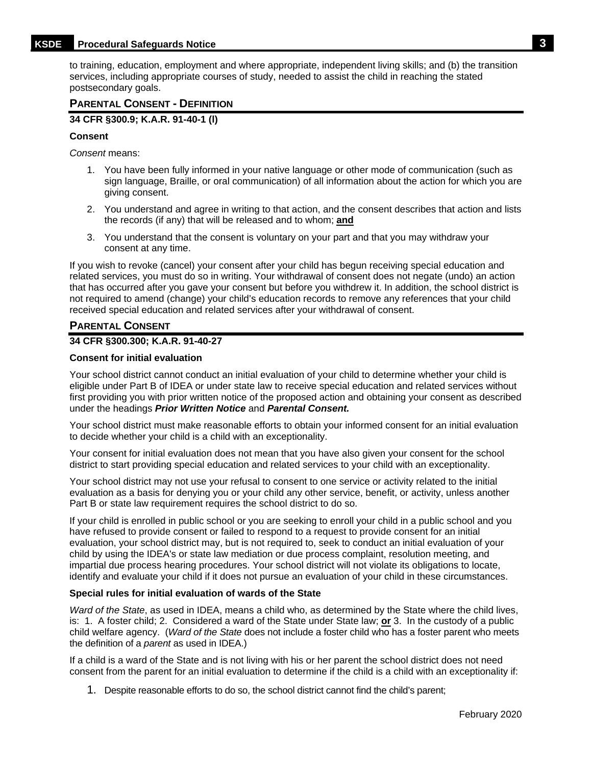## **KSDE Procedural Safeguards Notice 3**

to training, education, employment and where appropriate, independent living skills; and (b) the transition services, including appropriate courses of study, needed to assist the child in reaching the stated postsecondary goals.

## <span id="page-6-0"></span>**PARENTAL CONSENT - DEFINITION**

**34 CFR §300.9; K.A.R. 91-40-1 (l)**

#### **Consent**

*Consent* means:

- 1. You have been fully informed in your native language or other mode of communication (such as sign language, Braille, or oral communication) of all information about the action for which you are giving consent.
- 2. You understand and agree in writing to that action, and the consent describes that action and lists the records (if any) that will be released and to whom; **and**
- 3. You understand that the consent is voluntary on your part and that you may withdraw your consent at any time.

If you wish to revoke (cancel) your consent after your child has begun receiving special education and related services, you must do so in writing. Your withdrawal of consent does not negate (undo) an action that has occurred after you gave your consent but before you withdrew it. In addition, the school district is not required to amend (change) your child's education records to remove any references that your child received special education and related services after your withdrawal of consent.

## <span id="page-6-1"></span>**PARENTAL CONSENT**

## **34 CFR §300.300; K.A.R. 91-40-27**

#### **Consent for initial evaluation**

Your school district cannot conduct an initial evaluation of your child to determine whether your child is eligible under Part B of IDEA or under state law to receive special education and related services without first providing you with prior written notice of the proposed action and obtaining your consent as described under the headings *Prior Written Notice* and *Parental Consent.*

Your school district must make reasonable efforts to obtain your informed consent for an initial evaluation to decide whether your child is a child with an exceptionality.

Your consent for initial evaluation does not mean that you have also given your consent for the school district to start providing special education and related services to your child with an exceptionality.

Your school district may not use your refusal to consent to one service or activity related to the initial evaluation as a basis for denying you or your child any other service, benefit, or activity, unless another Part B or state law requirement requires the school district to do so.

If your child is enrolled in public school or you are seeking to enroll your child in a public school and you have refused to provide consent or failed to respond to a request to provide consent for an initial evaluation, your school district may, but is not required to, seek to conduct an initial evaluation of your child by using the IDEA's or state law mediation or due process complaint, resolution meeting, and impartial due process hearing procedures. Your school district will not violate its obligations to locate, identify and evaluate your child if it does not pursue an evaluation of your child in these circumstances.

#### **Special rules for initial evaluation of wards of the State**

*Ward of the State*, as used in IDEA, means a child who, as determined by the State where the child lives, is: 1. A foster child; 2. Considered a ward of the State under State law; **or** 3. In the custody of a public child welfare agency. (*Ward of the State* does not include a foster child who has a foster parent who meets the definition of a *parent* as used in IDEA.)

If a child is a ward of the State and is not living with his or her parent the school district does not need consent from the parent for an initial evaluation to determine if the child is a child with an exceptionality if:

1. Despite reasonable efforts to do so, the school district cannot find the child's parent;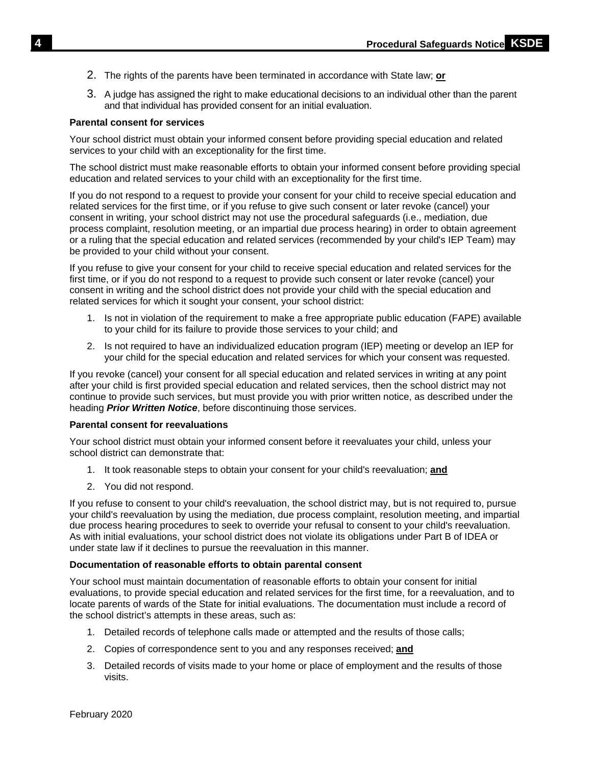- 2. The rights of the parents have been terminated in accordance with State law; **or**
- 3. A judge has assigned the right to make educational decisions to an individual other than the parent and that individual has provided consent for an initial evaluation.

#### **Parental consent for services**

Your school district must obtain your informed consent before providing special education and related services to your child with an exceptionality for the first time.

The school district must make reasonable efforts to obtain your informed consent before providing special education and related services to your child with an exceptionality for the first time.

If you do not respond to a request to provide your consent for your child to receive special education and related services for the first time, or if you refuse to give such consent or later revoke (cancel) your consent in writing, your school district may not use the procedural safeguards (i.e., mediation, due process complaint, resolution meeting, or an impartial due process hearing) in order to obtain agreement or a ruling that the special education and related services (recommended by your child's IEP Team) may be provided to your child without your consent.

If you refuse to give your consent for your child to receive special education and related services for the first time, or if you do not respond to a request to provide such consent or later revoke (cancel) your consent in writing and the school district does not provide your child with the special education and related services for which it sought your consent, your school district:

- 1. Is not in violation of the requirement to make a free appropriate public education (FAPE) available to your child for its failure to provide those services to your child; and
- 2. Is not required to have an individualized education program (IEP) meeting or develop an IEP for your child for the special education and related services for which your consent was requested.

If you revoke (cancel) your consent for all special education and related services in writing at any point after your child is first provided special education and related services, then the school district may not continue to provide such services, but must provide you with prior written notice, as described under the heading *Prior Written Notice*, before discontinuing those services.

#### **Parental consent for reevaluations**

Your school district must obtain your informed consent before it reevaluates your child, unless your school district can demonstrate that:

- 1. It took reasonable steps to obtain your consent for your child's reevaluation; **and**
- 2. You did not respond.

If you refuse to consent to your child's reevaluation, the school district may, but is not required to, pursue your child's reevaluation by using the mediation, due process complaint, resolution meeting, and impartial due process hearing procedures to seek to override your refusal to consent to your child's reevaluation. As with initial evaluations, your school district does not violate its obligations under Part B of IDEA or under state law if it declines to pursue the reevaluation in this manner.

#### **Documentation of reasonable efforts to obtain parental consent**

Your school must maintain documentation of reasonable efforts to obtain your consent for initial evaluations, to provide special education and related services for the first time, for a reevaluation, and to locate parents of wards of the State for initial evaluations. The documentation must include a record of the school district's attempts in these areas, such as:

- 1. Detailed records of telephone calls made or attempted and the results of those calls;
- 2. Copies of correspondence sent to you and any responses received; **and**
- 3. Detailed records of visits made to your home or place of employment and the results of those visits.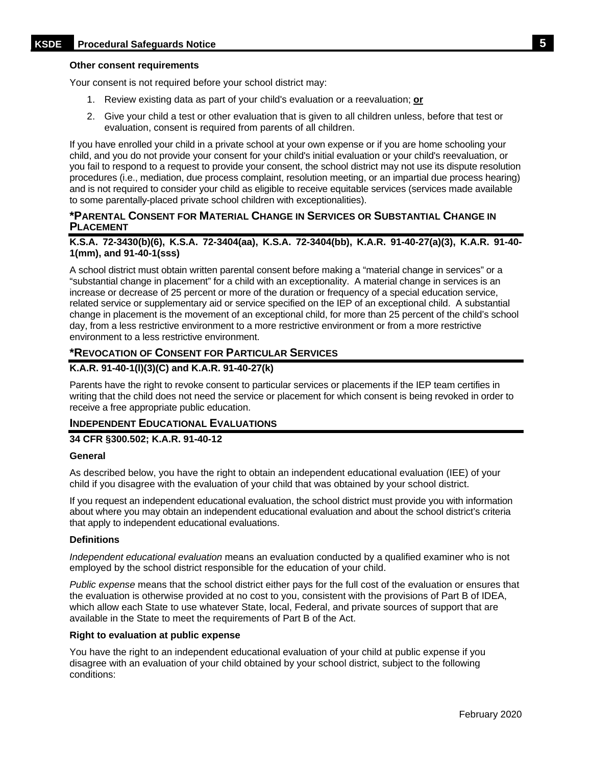#### **Other consent requirements**

Your consent is not required before your school district may:

- 1. Review existing data as part of your child's evaluation or a reevaluation; **or**
- 2. Give your child a test or other evaluation that is given to all children unless, before that test or evaluation, consent is required from parents of all children.

If you have enrolled your child in a private school at your own expense or if you are home schooling your child, and you do not provide your consent for your child's initial evaluation or your child's reevaluation, or you fail to respond to a request to provide your consent, the school district may not use its dispute resolution procedures (i.e., mediation, due process complaint, resolution meeting, or an impartial due process hearing) and is not required to consider your child as eligible to receive equitable services (services made available to some parentally-placed private school children with exceptionalities).

## <span id="page-8-0"></span>**\*PARENTAL CONSENT FOR MATERIAL CHANGE IN SERVICES OR SUBSTANTIAL CHANGE IN PLACEMENT**

#### **K.S.A. 72-3430(b)(6), K.S.A. 72-3404(aa), K.S.A. 72-3404(bb), K.A.R. 91-40-27(a)(3), K.A.R. 91-40- 1(mm), and 91-40-1(sss)**

A school district must obtain written parental consent before making a "material change in services" or a "substantial change in placement" for a child with an exceptionality. A material change in services is an increase or decrease of 25 percent or more of the duration or frequency of a special education service, related service or supplementary aid or service specified on the IEP of an exceptional child. A substantial change in placement is the movement of an exceptional child, for more than 25 percent of the child's school day, from a less restrictive environment to a more restrictive environment or from a more restrictive environment to a less restrictive environment.

## <span id="page-8-1"></span>**\*REVOCATION OF CONSENT FOR PARTICULAR SERVICES**

## **K.A.R. 91-40-1(l)(3)(C) and K.A.R. 91-40-27(k)**

Parents have the right to revoke consent to particular services or placements if the IEP team certifies in writing that the child does not need the service or placement for which consent is being revoked in order to receive a free appropriate public education.

#### <span id="page-8-2"></span>**INDEPENDENT EDUCATIONAL EVALUATIONS**

#### **34 CFR §300.502; K.A.R. 91-40-12**

#### **General**

As described below, you have the right to obtain an independent educational evaluation (IEE) of your child if you disagree with the evaluation of your child that was obtained by your school district.

If you request an independent educational evaluation, the school district must provide you with information about where you may obtain an independent educational evaluation and about the school district's criteria that apply to independent educational evaluations.

#### **Definitions**

*Independent educational evaluation* means an evaluation conducted by a qualified examiner who is not employed by the school district responsible for the education of your child.

*Public expense* means that the school district either pays for the full cost of the evaluation or ensures that the evaluation is otherwise provided at no cost to you, consistent with the provisions of Part B of IDEA, which allow each State to use whatever State, local, Federal, and private sources of support that are available in the State to meet the requirements of Part B of the Act.

#### **Right to evaluation at public expense**

You have the right to an independent educational evaluation of your child at public expense if you disagree with an evaluation of your child obtained by your school district, subject to the following conditions: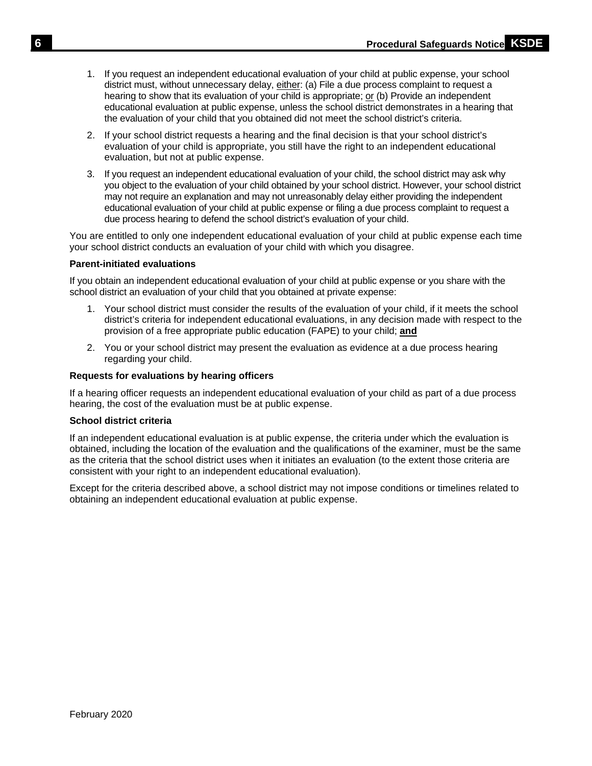- 1. If you request an independent educational evaluation of your child at public expense, your school district must, without unnecessary delay, either: (a) File a due process complaint to request a hearing to show that its evaluation of your child is appropriate; or (b) Provide an independent educational evaluation at public expense, unless the school district demonstrates in a hearing that the evaluation of your child that you obtained did not meet the school district's criteria.
- 2. If your school district requests a hearing and the final decision is that your school district's evaluation of your child is appropriate, you still have the right to an independent educational evaluation, but not at public expense.
- 3. If you request an independent educational evaluation of your child, the school district may ask why you object to the evaluation of your child obtained by your school district. However, your school district may not require an explanation and may not unreasonably delay either providing the independent educational evaluation of your child at public expense or filing a due process complaint to request a due process hearing to defend the school district's evaluation of your child.

You are entitled to only one independent educational evaluation of your child at public expense each time your school district conducts an evaluation of your child with which you disagree.

## **Parent-initiated evaluations**

If you obtain an independent educational evaluation of your child at public expense or you share with the school district an evaluation of your child that you obtained at private expense:

- 1. Your school district must consider the results of the evaluation of your child, if it meets the school district's criteria for independent educational evaluations, in any decision made with respect to the provision of a free appropriate public education (FAPE) to your child; **and**
- 2. You or your school district may present the evaluation as evidence at a due process hearing regarding your child.

## **Requests for evaluations by hearing officers**

If a hearing officer requests an independent educational evaluation of your child as part of a due process hearing, the cost of the evaluation must be at public expense.

#### **School district criteria**

If an independent educational evaluation is at public expense, the criteria under which the evaluation is obtained, including the location of the evaluation and the qualifications of the examiner, must be the same as the criteria that the school district uses when it initiates an evaluation (to the extent those criteria are consistent with your right to an independent educational evaluation).

Except for the criteria described above, a school district may not impose conditions or timelines related to obtaining an independent educational evaluation at public expense.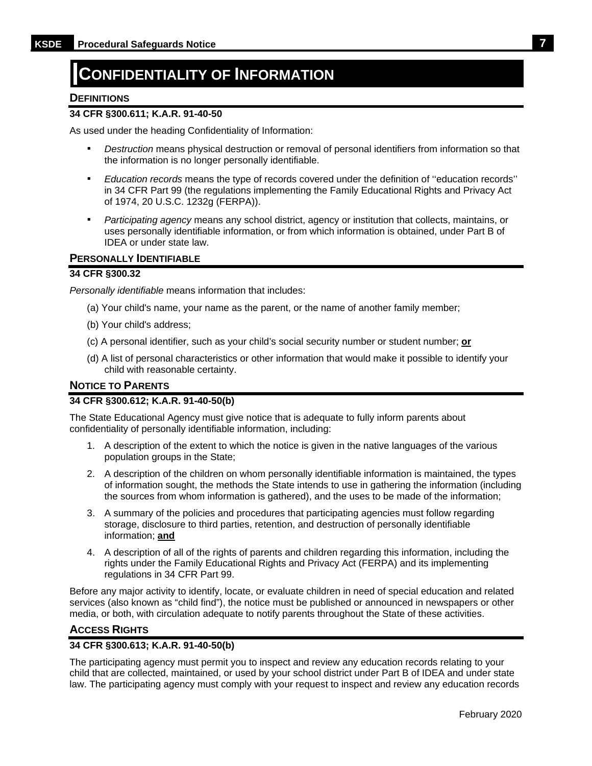# <span id="page-10-0"></span>**CONFIDENTIALITY OF INFORMATION**

## <span id="page-10-1"></span>**DEFINITIONS**

## **34 CFR §300.611; K.A.R. 91-40-50**

As used under the heading Confidentiality of Information:

- **•** *Destruction* means physical destruction or removal of personal identifiers from information so that the information is no longer personally identifiable.
- *Education records* means the type of records covered under the definition of ''education records'' in 34 CFR Part 99 (the regulations implementing the Family Educational Rights and Privacy Act of 1974, 20 U.S.C. 1232g (FERPA)).
- Participating agency means any school district, agency or institution that collects, maintains, or uses personally identifiable information, or from which information is obtained, under Part B of IDEA or under state law.

## <span id="page-10-2"></span>**PERSONALLY IDENTIFIABLE**

#### **34 CFR §300.32**

*Personally identifiable* means information that includes:

- (a) Your child's name, your name as the parent, or the name of another family member;
- (b) Your child's address;
- (c) A personal identifier, such as your child's social security number or student number; **or**
- (d) A list of personal characteristics or other information that would make it possible to identify your child with reasonable certainty.

## <span id="page-10-3"></span>**NOTICE TO PARENTS**

## **34 CFR §300.612; K.A.R. 91-40-50(b)**

The State Educational Agency must give notice that is adequate to fully inform parents about confidentiality of personally identifiable information, including:

- 1. A description of the extent to which the notice is given in the native languages of the various population groups in the State;
- 2. A description of the children on whom personally identifiable information is maintained, the types of information sought, the methods the State intends to use in gathering the information (including the sources from whom information is gathered), and the uses to be made of the information;
- 3. A summary of the policies and procedures that participating agencies must follow regarding storage, disclosure to third parties, retention, and destruction of personally identifiable information; **and**
- 4. A description of all of the rights of parents and children regarding this information, including the rights under the Family Educational Rights and Privacy Act (FERPA) and its implementing regulations in 34 CFR Part 99.

Before any major activity to identify, locate, or evaluate children in need of special education and related services (also known as "child find"), the notice must be published or announced in newspapers or other media, or both, with circulation adequate to notify parents throughout the State of these activities.

#### <span id="page-10-4"></span>**ACCESS RIGHTS**

#### **34 CFR §300.613; K.A.R. 91-40-50(b)**

The participating agency must permit you to inspect and review any education records relating to your child that are collected, maintained, or used by your school district under Part B of IDEA and under state law. The participating agency must comply with your request to inspect and review any education records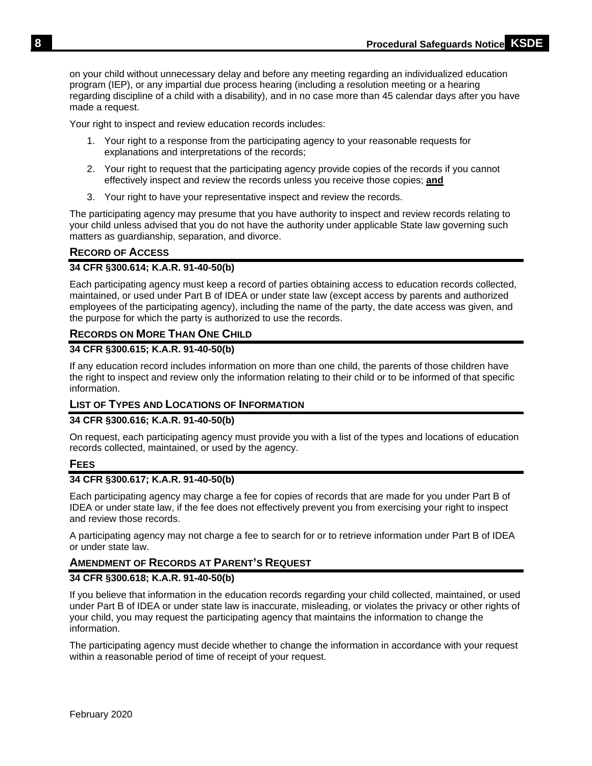on your child without unnecessary delay and before any meeting regarding an individualized education program (IEP), or any impartial due process hearing (including a resolution meeting or a hearing regarding discipline of a child with a disability), and in no case more than 45 calendar days after you have made a request.

Your right to inspect and review education records includes:

- 1. Your right to a response from the participating agency to your reasonable requests for explanations and interpretations of the records;
- 2. Your right to request that the participating agency provide copies of the records if you cannot effectively inspect and review the records unless you receive those copies; **and**
- 3. Your right to have your representative inspect and review the records.

The participating agency may presume that you have authority to inspect and review records relating to your child unless advised that you do not have the authority under applicable State law governing such matters as guardianship, separation, and divorce.

## <span id="page-11-0"></span>**RECORD OF ACCESS**

## **34 CFR §300.614; K.A.R. 91-40-50(b)**

Each participating agency must keep a record of parties obtaining access to education records collected, maintained, or used under Part B of IDEA or under state law (except access by parents and authorized employees of the participating agency), including the name of the party, the date access was given, and the purpose for which the party is authorized to use the records.

# <span id="page-11-1"></span>**RECORDS ON MORE THAN ONE CHILD**

## **34 CFR §300.615; K.A.R. 91-40-50(b)**

If any education record includes information on more than one child, the parents of those children have the right to inspect and review only the information relating to their child or to be informed of that specific information.

## <span id="page-11-2"></span>**LIST OF TYPES AND LOCATIONS OF INFORMATION**

## **34 CFR §300.616; K.A.R. 91-40-50(b)**

On request, each participating agency must provide you with a list of the types and locations of education records collected, maintained, or used by the agency.

## <span id="page-11-3"></span>**FEES**

#### **34 CFR §300.617; K.A.R. 91-40-50(b)**

Each participating agency may charge a fee for copies of records that are made for you under Part B of IDEA or under state law, if the fee does not effectively prevent you from exercising your right to inspect and review those records.

A participating agency may not charge a fee to search for or to retrieve information under Part B of IDEA or under state law.

## <span id="page-11-4"></span>**AMENDMENT OF RECORDS AT PARENT'S REQUEST**

## **34 CFR §300.618; K.A.R. 91-40-50(b)**

If you believe that information in the education records regarding your child collected, maintained, or used under Part B of IDEA or under state law is inaccurate, misleading, or violates the privacy or other rights of your child, you may request the participating agency that maintains the information to change the information.

The participating agency must decide whether to change the information in accordance with your request within a reasonable period of time of receipt of your request.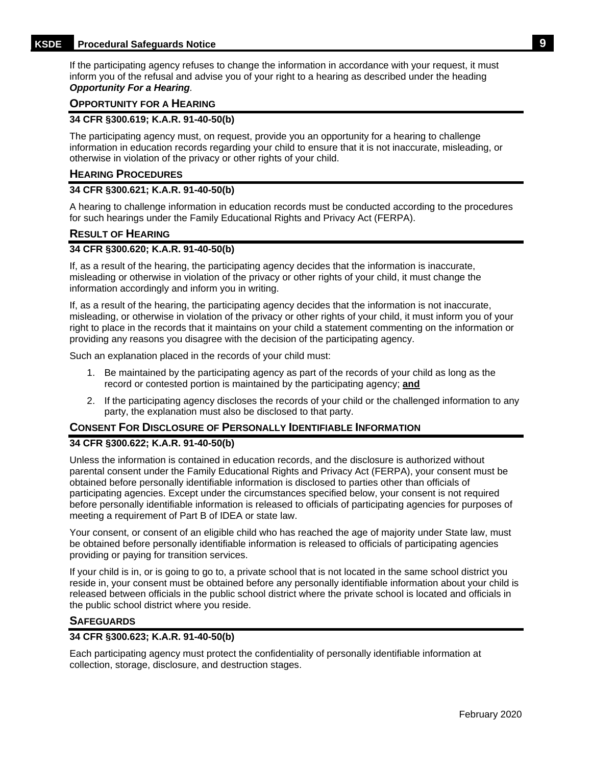## **KSDE Procedural Safeguards Notice 9**

If the participating agency refuses to change the information in accordance with your request, it must inform you of the refusal and advise you of your right to a hearing as described under the heading *Opportunity For a Hearing.* 

## <span id="page-12-0"></span>**OPPORTUNITY FOR A HEARING**

#### **34 CFR §300.619; K.A.R. 91-40-50(b)**

The participating agency must, on request, provide you an opportunity for a hearing to challenge information in education records regarding your child to ensure that it is not inaccurate, misleading, or otherwise in violation of the privacy or other rights of your child.

#### <span id="page-12-1"></span>**HEARING PROCEDURES**

## **34 CFR §300.621; K.A.R. 91-40-50(b)**

A hearing to challenge information in education records must be conducted according to the procedures for such hearings under the Family Educational Rights and Privacy Act (FERPA).

## <span id="page-12-2"></span>**RESULT OF HEARING**

#### **34 CFR §300.620; K.A.R. 91-40-50(b)**

If, as a result of the hearing, the participating agency decides that the information is inaccurate, misleading or otherwise in violation of the privacy or other rights of your child, it must change the information accordingly and inform you in writing.

If, as a result of the hearing, the participating agency decides that the information is not inaccurate, misleading, or otherwise in violation of the privacy or other rights of your child, it must inform you of your right to place in the records that it maintains on your child a statement commenting on the information or providing any reasons you disagree with the decision of the participating agency.

Such an explanation placed in the records of your child must:

- 1. Be maintained by the participating agency as part of the records of your child as long as the record or contested portion is maintained by the participating agency; **and**
- 2. If the participating agency discloses the records of your child or the challenged information to any party, the explanation must also be disclosed to that party.

## <span id="page-12-3"></span>**CONSENT FOR DISCLOSURE OF PERSONALLY IDENTIFIABLE INFORMATION**

#### **34 CFR §300.622; K.A.R. 91-40-50(b)**

Unless the information is contained in education records, and the disclosure is authorized without parental consent under the Family Educational Rights and Privacy Act (FERPA), your consent must be obtained before personally identifiable information is disclosed to parties other than officials of participating agencies. Except under the circumstances specified below, your consent is not required before personally identifiable information is released to officials of participating agencies for purposes of meeting a requirement of Part B of IDEA or state law.

Your consent, or consent of an eligible child who has reached the age of majority under State law, must be obtained before personally identifiable information is released to officials of participating agencies providing or paying for transition services.

If your child is in, or is going to go to, a private school that is not located in the same school district you reside in, your consent must be obtained before any personally identifiable information about your child is released between officials in the public school district where the private school is located and officials in the public school district where you reside.

#### <span id="page-12-4"></span>**SAFEGUARDS**

#### **34 CFR §300.623; K.A.R. 91-40-50(b)**

Each participating agency must protect the confidentiality of personally identifiable information at collection, storage, disclosure, and destruction stages.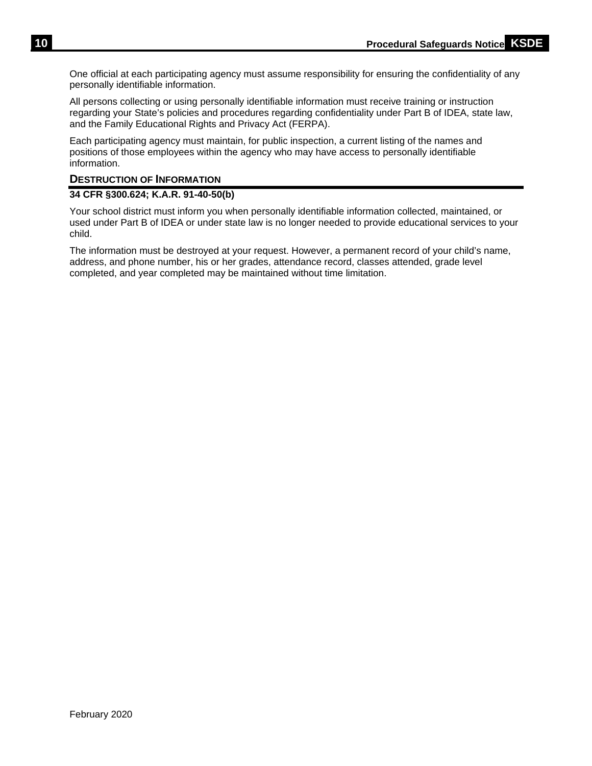One official at each participating agency must assume responsibility for ensuring the confidentiality of any personally identifiable information.

All persons collecting or using personally identifiable information must receive training or instruction regarding your State's policies and procedures regarding confidentiality under Part B of IDEA, state law, and the Family Educational Rights and Privacy Act (FERPA).

Each participating agency must maintain, for public inspection, a current listing of the names and positions of those employees within the agency who may have access to personally identifiable information.

## <span id="page-13-0"></span>**DESTRUCTION OF INFORMATION**

## **34 CFR §300.624; K.A.R. 91-40-50(b)**

Your school district must inform you when personally identifiable information collected, maintained, or used under Part B of IDEA or under state law is no longer needed to provide educational services to your child.

The information must be destroyed at your request. However, a permanent record of your child's name, address, and phone number, his or her grades, attendance record, classes attended, grade level completed, and year completed may be maintained without time limitation.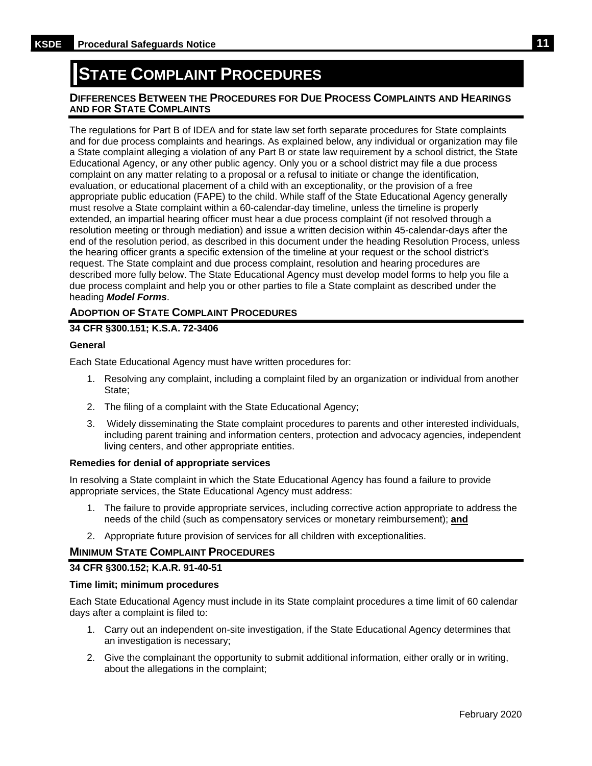# <span id="page-14-0"></span>**STATE COMPLAINT PROCEDURES**

## <span id="page-14-1"></span>**DIFFERENCES BETWEEN THE PROCEDURES FOR DUE PROCESS COMPLAINTS AND HEARINGS AND FOR STATE COMPLAINTS**

The regulations for Part B of IDEA and for state law set forth separate procedures for State complaints and for due process complaints and hearings. As explained below, any individual or organization may file a State complaint alleging a violation of any Part B or state law requirement by a school district, the State Educational Agency, or any other public agency. Only you or a school district may file a due process complaint on any matter relating to a proposal or a refusal to initiate or change the identification, evaluation, or educational placement of a child with an exceptionality, or the provision of a free appropriate public education (FAPE) to the child. While staff of the State Educational Agency generally must resolve a State complaint within a 60-calendar-day timeline, unless the timeline is properly extended, an impartial hearing officer must hear a due process complaint (if not resolved through a resolution meeting or through mediation) and issue a written decision within 45-calendar-days after the end of the resolution period, as described in this document under the heading Resolution Process, unless the hearing officer grants a specific extension of the timeline at your request or the school district's request. The State complaint and due process complaint, resolution and hearing procedures are described more fully below. The State Educational Agency must develop model forms to help you file a due process complaint and help you or other parties to file a State complaint as described under the heading *Model Forms*.

## <span id="page-14-2"></span>**ADOPTION OF STATE COMPLAINT PROCEDURES**

## **34 CFR §300.151; K.S.A. 72-3406**

#### **General**

Each State Educational Agency must have written procedures for:

- 1. Resolving any complaint, including a complaint filed by an organization or individual from another State;
- 2. The filing of a complaint with the State Educational Agency;
- 3. Widely disseminating the State complaint procedures to parents and other interested individuals, including parent training and information centers, protection and advocacy agencies, independent living centers, and other appropriate entities.

#### **Remedies for denial of appropriate services**

In resolving a State complaint in which the State Educational Agency has found a failure to provide appropriate services, the State Educational Agency must address:

- 1. The failure to provide appropriate services, including corrective action appropriate to address the needs of the child (such as compensatory services or monetary reimbursement); **and**
- 2. Appropriate future provision of services for all children with exceptionalities.

## <span id="page-14-3"></span>**MINIMUM STATE COMPLAINT PROCEDURES**

## **34 CFR §300.152; K.A.R. 91-40-51**

#### **Time limit; minimum procedures**

Each State Educational Agency must include in its State complaint procedures a time limit of 60 calendar days after a complaint is filed to:

- 1. Carry out an independent on-site investigation, if the State Educational Agency determines that an investigation is necessary;
- 2. Give the complainant the opportunity to submit additional information, either orally or in writing, about the allegations in the complaint;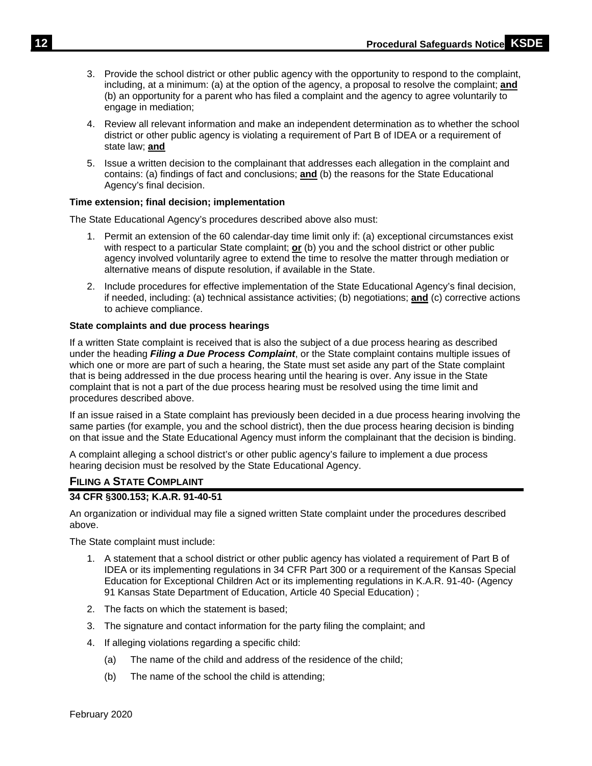- 3. Provide the school district or other public agency with the opportunity to respond to the complaint, including, at a minimum: (a) at the option of the agency, a proposal to resolve the complaint; **and** (b) an opportunity for a parent who has filed a complaint and the agency to agree voluntarily to engage in mediation;
- 4. Review all relevant information and make an independent determination as to whether the school district or other public agency is violating a requirement of Part B of IDEA or a requirement of state law; **and**
- 5. Issue a written decision to the complainant that addresses each allegation in the complaint and contains: (a) findings of fact and conclusions; **and** (b) the reasons for the State Educational Agency's final decision.

## **Time extension; final decision; implementation**

The State Educational Agency's procedures described above also must:

- 1. Permit an extension of the 60 calendar-day time limit only if: (a) exceptional circumstances exist with respect to a particular State complaint; **or** (b) you and the school district or other public agency involved voluntarily agree to extend the time to resolve the matter through mediation or alternative means of dispute resolution, if available in the State.
- 2. Include procedures for effective implementation of the State Educational Agency's final decision, if needed, including: (a) technical assistance activities; (b) negotiations; **and** (c) corrective actions to achieve compliance.

#### **State complaints and due process hearings**

If a written State complaint is received that is also the subject of a due process hearing as described under the heading *Filing a Due Process Complaint*, or the State complaint contains multiple issues of which one or more are part of such a hearing, the State must set aside any part of the State complaint that is being addressed in the due process hearing until the hearing is over. Any issue in the State complaint that is not a part of the due process hearing must be resolved using the time limit and procedures described above.

If an issue raised in a State complaint has previously been decided in a due process hearing involving the same parties (for example, you and the school district), then the due process hearing decision is binding on that issue and the State Educational Agency must inform the complainant that the decision is binding.

A complaint alleging a school district's or other public agency's failure to implement a due process hearing decision must be resolved by the State Educational Agency.

## <span id="page-15-0"></span>**FILING A STATE COMPLAINT**

#### **34 CFR §300.153; K.A.R. 91-40-51**

An organization or individual may file a signed written State complaint under the procedures described above.

The State complaint must include:

- 1. A statement that a school district or other public agency has violated a requirement of Part B of IDEA or its implementing regulations in 34 CFR Part 300 or a requirement of the Kansas Special Education for Exceptional Children Act or its implementing regulations in K.A.R. 91-40- (Agency 91 Kansas State Department of Education, Article 40 Special Education) ;
- 2. The facts on which the statement is based;
- 3. The signature and contact information for the party filing the complaint; and
- 4. If alleging violations regarding a specific child:
	- (a) The name of the child and address of the residence of the child;
	- (b) The name of the school the child is attending;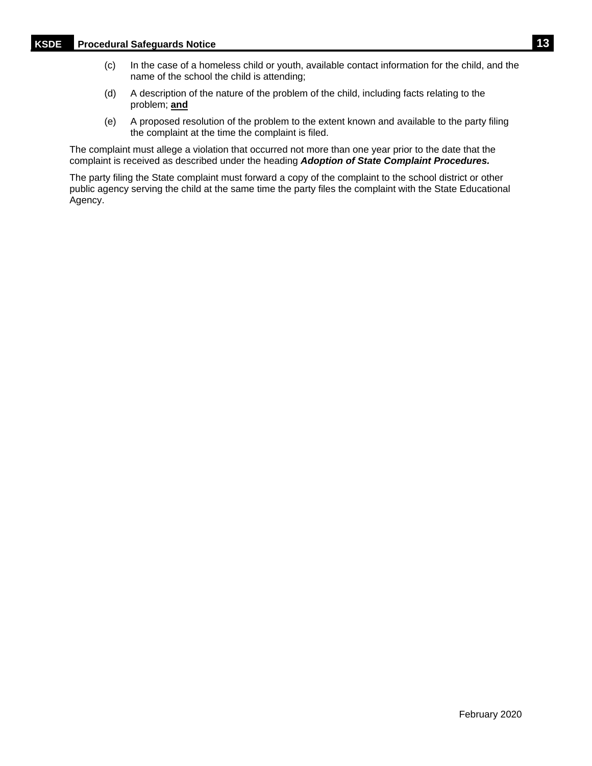- (c) In the case of a homeless child or youth, available contact information for the child, and the name of the school the child is attending;
- (d) A description of the nature of the problem of the child, including facts relating to the problem; **and**
- (e) A proposed resolution of the problem to the extent known and available to the party filing the complaint at the time the complaint is filed.

The complaint must allege a violation that occurred not more than one year prior to the date that the complaint is received as described under the heading *Adoption of State Complaint Procedures.*

The party filing the State complaint must forward a copy of the complaint to the school district or other public agency serving the child at the same time the party files the complaint with the State Educational Agency.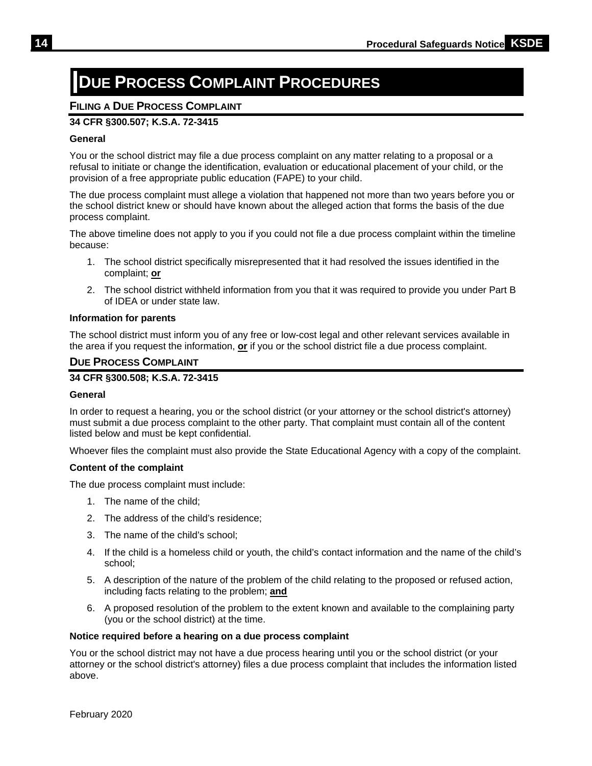# <span id="page-17-0"></span>**DUE PROCESS COMPLAINT PROCEDURES**

# <span id="page-17-1"></span>**FILING A DUE PROCESS COMPLAINT**

# **34 CFR §300.507; K.S.A. 72-3415**

## **General**

You or the school district may file a due process complaint on any matter relating to a proposal or a refusal to initiate or change the identification, evaluation or educational placement of your child, or the provision of a free appropriate public education (FAPE) to your child.

The due process complaint must allege a violation that happened not more than two years before you or the school district knew or should have known about the alleged action that forms the basis of the due process complaint.

The above timeline does not apply to you if you could not file a due process complaint within the timeline because:

- 1. The school district specifically misrepresented that it had resolved the issues identified in the complaint; **or**
- 2. The school district withheld information from you that it was required to provide you under Part B of IDEA or under state law.

#### **Information for parents**

The school district must inform you of any free or low-cost legal and other relevant services available in the area if you request the information, **or** if you or the school district file a due process complaint.

## <span id="page-17-2"></span>**DUE PROCESS COMPLAINT**

## **34 CFR §300.508; K.S.A. 72-3415**

#### **General**

In order to request a hearing, you or the school district (or your attorney or the school district's attorney) must submit a due process complaint to the other party. That complaint must contain all of the content listed below and must be kept confidential.

Whoever files the complaint must also provide the State Educational Agency with a copy of the complaint.

#### **Content of the complaint**

The due process complaint must include:

- 1. The name of the child;
- 2. The address of the child's residence;
- 3. The name of the child's school;
- 4. If the child is a homeless child or youth, the child's contact information and the name of the child's school;
- 5. A description of the nature of the problem of the child relating to the proposed or refused action, including facts relating to the problem; **and**
- 6. A proposed resolution of the problem to the extent known and available to the complaining party (you or the school district) at the time.

#### **Notice required before a hearing on a due process complaint**

You or the school district may not have a due process hearing until you or the school district (or your attorney or the school district's attorney) files a due process complaint that includes the information listed above.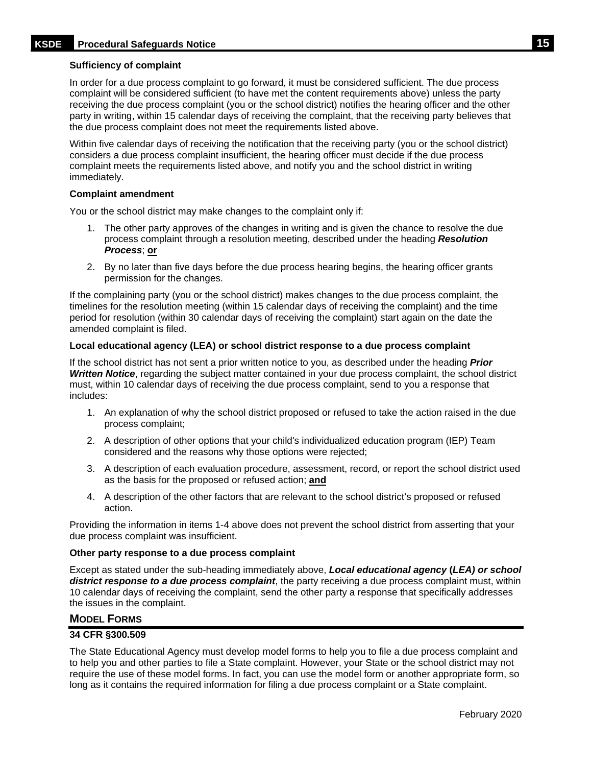## **Sufficiency of complaint**

In order for a due process complaint to go forward, it must be considered sufficient. The due process complaint will be considered sufficient (to have met the content requirements above) unless the party receiving the due process complaint (you or the school district) notifies the hearing officer and the other party in writing, within 15 calendar days of receiving the complaint, that the receiving party believes that the due process complaint does not meet the requirements listed above.

Within five calendar days of receiving the notification that the receiving party (you or the school district) considers a due process complaint insufficient, the hearing officer must decide if the due process complaint meets the requirements listed above, and notify you and the school district in writing immediately.

#### **Complaint amendment**

You or the school district may make changes to the complaint only if:

- 1. The other party approves of the changes in writing and is given the chance to resolve the due process complaint through a resolution meeting, described under the heading *Resolution Process*; **or**
- 2. By no later than five days before the due process hearing begins, the hearing officer grants permission for the changes.

If the complaining party (you or the school district) makes changes to the due process complaint, the timelines for the resolution meeting (within 15 calendar days of receiving the complaint) and the time period for resolution (within 30 calendar days of receiving the complaint) start again on the date the amended complaint is filed.

## **Local educational agency (LEA) or school district response to a due process complaint**

If the school district has not sent a prior written notice to you, as described under the heading *Prior Written Notice*, regarding the subject matter contained in your due process complaint, the school district must, within 10 calendar days of receiving the due process complaint, send to you a response that includes:

- 1. An explanation of why the school district proposed or refused to take the action raised in the due process complaint;
- 2. A description of other options that your child's individualized education program (IEP) Team considered and the reasons why those options were rejected;
- 3. A description of each evaluation procedure, assessment, record, or report the school district used as the basis for the proposed or refused action; **and**
- 4. A description of the other factors that are relevant to the school district's proposed or refused action.

Providing the information in items 1-4 above does not prevent the school district from asserting that your due process complaint was insufficient.

#### **Other party response to a due process complaint**

Except as stated under the sub-heading immediately above, *Local educational agency* **(***LEA) or school district response to a due process complaint*, the party receiving a due process complaint must, within 10 calendar days of receiving the complaint, send the other party a response that specifically addresses the issues in the complaint.

## <span id="page-18-0"></span>**MODEL FORMS**

## **34 CFR §300.509**

The State Educational Agency must develop model forms to help you to file a due process complaint and to help you and other parties to file a State complaint. However, your State or the school district may not require the use of these model forms. In fact, you can use the model form or another appropriate form, so long as it contains the required information for filing a due process complaint or a State complaint.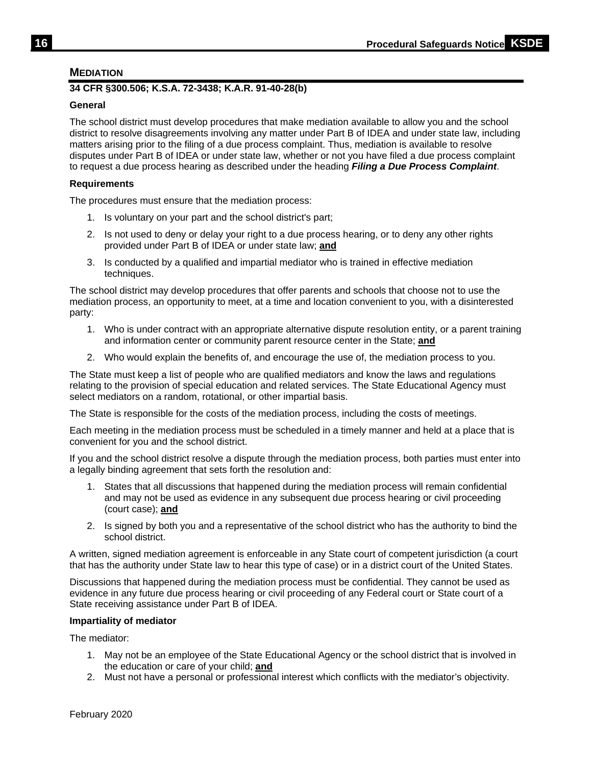## <span id="page-19-0"></span>**MEDIATION**

## **34 CFR §300.506; K.S.A. 72-3438; K.A.R. 91-40-28(b)**

## **General**

The school district must develop procedures that make mediation available to allow you and the school district to resolve disagreements involving any matter under Part B of IDEA and under state law, including matters arising prior to the filing of a due process complaint. Thus, mediation is available to resolve disputes under Part B of IDEA or under state law, whether or not you have filed a due process complaint to request a due process hearing as described under the heading *Filing a Due Process Complaint*.

## **Requirements**

The procedures must ensure that the mediation process:

- 1. Is voluntary on your part and the school district's part;
- 2. Is not used to deny or delay your right to a due process hearing, or to deny any other rights provided under Part B of IDEA or under state law; **and**
- 3. Is conducted by a qualified and impartial mediator who is trained in effective mediation techniques.

The school district may develop procedures that offer parents and schools that choose not to use the mediation process, an opportunity to meet, at a time and location convenient to you, with a disinterested party:

- 1. Who is under contract with an appropriate alternative dispute resolution entity, or a parent training and information center or community parent resource center in the State; **and**
- 2. Who would explain the benefits of, and encourage the use of, the mediation process to you.

The State must keep a list of people who are qualified mediators and know the laws and regulations relating to the provision of special education and related services. The State Educational Agency must select mediators on a random, rotational, or other impartial basis.

The State is responsible for the costs of the mediation process, including the costs of meetings.

Each meeting in the mediation process must be scheduled in a timely manner and held at a place that is convenient for you and the school district.

If you and the school district resolve a dispute through the mediation process, both parties must enter into a legally binding agreement that sets forth the resolution and:

- 1. States that all discussions that happened during the mediation process will remain confidential and may not be used as evidence in any subsequent due process hearing or civil proceeding (court case); **and**
- 2. Is signed by both you and a representative of the school district who has the authority to bind the school district.

A written, signed mediation agreement is enforceable in any State court of competent jurisdiction (a court that has the authority under State law to hear this type of case) or in a district court of the United States.

Discussions that happened during the mediation process must be confidential. They cannot be used as evidence in any future due process hearing or civil proceeding of any Federal court or State court of a State receiving assistance under Part B of IDEA.

#### **Impartiality of mediator**

The mediator:

- 1. May not be an employee of the State Educational Agency or the school district that is involved in the education or care of your child; **and**
- 2. Must not have a personal or professional interest which conflicts with the mediator's objectivity.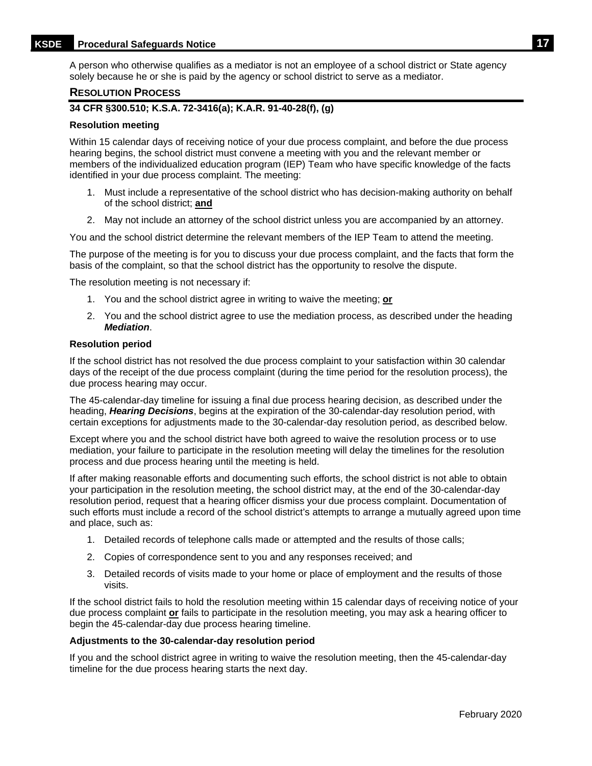# **KSDE Procedural Safeguards Notice 17**

A person who otherwise qualifies as a mediator is not an employee of a school district or State agency solely because he or she is paid by the agency or school district to serve as a mediator.

#### <span id="page-20-0"></span>**RESOLUTION PROCESS**

## **34 CFR §300.510; K.S.A. 72-3416(a); K.A.R. 91-40-28(f), (g)**

#### **Resolution meeting**

Within 15 calendar days of receiving notice of your due process complaint, and before the due process hearing begins, the school district must convene a meeting with you and the relevant member or members of the individualized education program (IEP) Team who have specific knowledge of the facts identified in your due process complaint. The meeting:

- 1. Must include a representative of the school district who has decision-making authority on behalf of the school district; **and**
- 2. May not include an attorney of the school district unless you are accompanied by an attorney.

You and the school district determine the relevant members of the IEP Team to attend the meeting.

The purpose of the meeting is for you to discuss your due process complaint, and the facts that form the basis of the complaint, so that the school district has the opportunity to resolve the dispute.

The resolution meeting is not necessary if:

- 1. You and the school district agree in writing to waive the meeting; **or**
- 2. You and the school district agree to use the mediation process, as described under the heading *Mediation*.

#### **Resolution period**

If the school district has not resolved the due process complaint to your satisfaction within 30 calendar days of the receipt of the due process complaint (during the time period for the resolution process), the due process hearing may occur.

The 45-calendar-day timeline for issuing a final due process hearing decision, as described under the heading, *Hearing Decisions*, begins at the expiration of the 30-calendar-day resolution period, with certain exceptions for adjustments made to the 30-calendar-day resolution period, as described below.

Except where you and the school district have both agreed to waive the resolution process or to use mediation, your failure to participate in the resolution meeting will delay the timelines for the resolution process and due process hearing until the meeting is held.

If after making reasonable efforts and documenting such efforts, the school district is not able to obtain your participation in the resolution meeting, the school district may, at the end of the 30-calendar-day resolution period, request that a hearing officer dismiss your due process complaint. Documentation of such efforts must include a record of the school district's attempts to arrange a mutually agreed upon time and place, such as:

- 1. Detailed records of telephone calls made or attempted and the results of those calls;
- 2. Copies of correspondence sent to you and any responses received; and
- 3. Detailed records of visits made to your home or place of employment and the results of those visits.

If the school district fails to hold the resolution meeting within 15 calendar days of receiving notice of your due process complaint **or** fails to participate in the resolution meeting, you may ask a hearing officer to begin the 45-calendar-day due process hearing timeline.

#### **Adjustments to the 30-calendar-day resolution period**

If you and the school district agree in writing to waive the resolution meeting, then the 45-calendar-day timeline for the due process hearing starts the next day.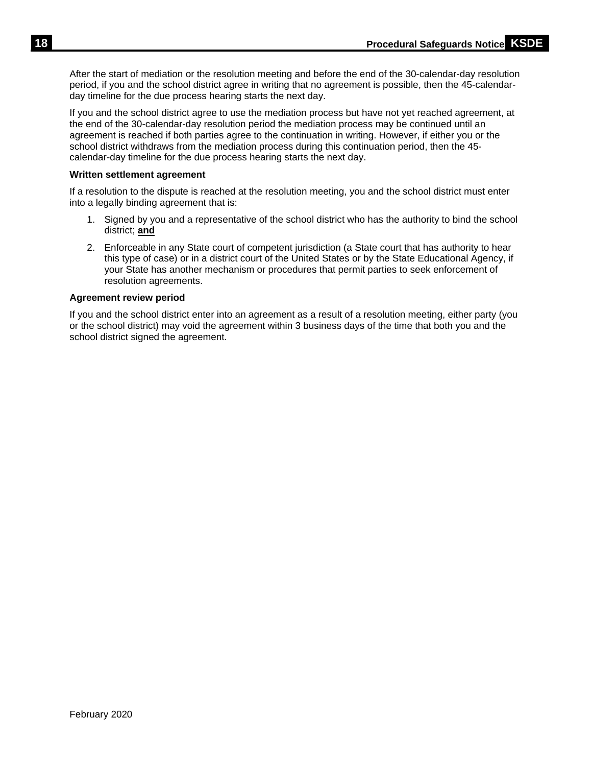After the start of mediation or the resolution meeting and before the end of the 30-calendar-day resolution period, if you and the school district agree in writing that no agreement is possible, then the 45-calendarday timeline for the due process hearing starts the next day.

If you and the school district agree to use the mediation process but have not yet reached agreement, at the end of the 30-calendar-day resolution period the mediation process may be continued until an agreement is reached if both parties agree to the continuation in writing. However, if either you or the school district withdraws from the mediation process during this continuation period, then the 45 calendar-day timeline for the due process hearing starts the next day.

## **Written settlement agreement**

If a resolution to the dispute is reached at the resolution meeting, you and the school district must enter into a legally binding agreement that is:

- 1. Signed by you and a representative of the school district who has the authority to bind the school district; **and**
- 2. Enforceable in any State court of competent jurisdiction (a State court that has authority to hear this type of case) or in a district court of the United States or by the State Educational Agency, if your State has another mechanism or procedures that permit parties to seek enforcement of resolution agreements.

## **Agreement review period**

If you and the school district enter into an agreement as a result of a resolution meeting, either party (you or the school district) may void the agreement within 3 business days of the time that both you and the school district signed the agreement.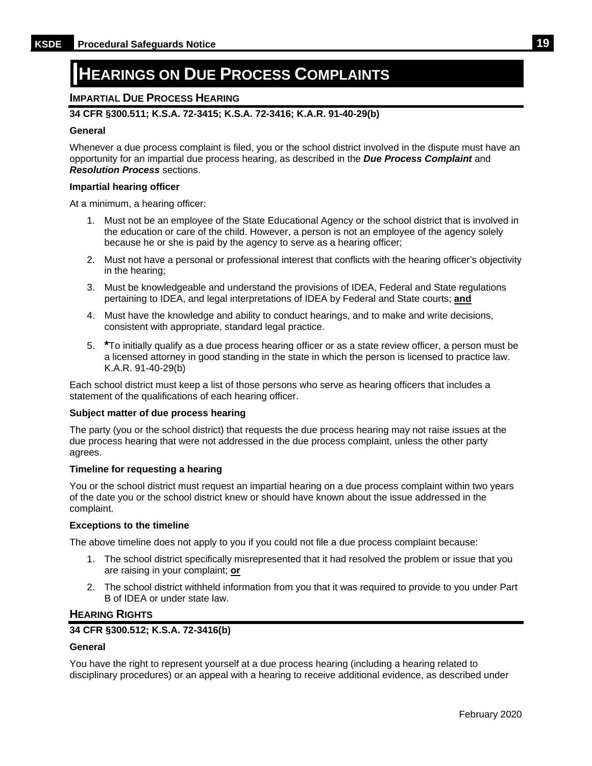# <span id="page-22-0"></span>**HEARINGS ON DUE PROCESS COMPLAINTS**

## <span id="page-22-1"></span>**IMPARTIAL DUE PROCESS HEARING**

## **34 CFR §300.511; K.S.A. 72-3415; K.S.A. 72-3416; K.A.R. 91-40-29(b)**

#### **General**

Whenever a due process complaint is filed, you or the school district involved in the dispute must have an opportunity for an impartial due process hearing, as described in the *Due Process Complaint* and *Resolution Process* sections.

#### **Impartial hearing officer**

At a minimum, a hearing officer:

- 1. Must not be an employee of the State Educational Agency or the school district that is involved in the education or care of the child. However, a person is not an employee of the agency solely because he or she is paid by the agency to serve as a hearing officer;
- 2. Must not have a personal or professional interest that conflicts with the hearing officer's objectivity in the hearing;
- 3. Must be knowledgeable and understand the provisions of IDEA, Federal and State regulations pertaining to IDEA, and legal interpretations of IDEA by Federal and State courts; **and**
- 4. Must have the knowledge and ability to conduct hearings, and to make and write decisions, consistent with appropriate, standard legal practice.
- 5. **\***To initially qualify as a due process hearing officer or as a state review officer, a person must be a licensed attorney in good standing in the state in which the person is licensed to practice law. K.A.R. 91-40-29(b)

Each school district must keep a list of those persons who serve as hearing officers that includes a statement of the qualifications of each hearing officer.

#### **Subject matter of due process hearing**

The party (you or the school district) that requests the due process hearing may not raise issues at the due process hearing that were not addressed in the due process complaint, unless the other party agrees.

#### **Timeline for requesting a hearing**

You or the school district must request an impartial hearing on a due process complaint within two years of the date you or the school district knew or should have known about the issue addressed in the complaint.

#### **Exceptions to the timeline**

The above timeline does not apply to you if you could not file a due process complaint because:

- 1. The school district specifically misrepresented that it had resolved the problem or issue that you are raising in your complaint; **or**
- 2. The school district withheld information from you that it was required to provide to you under Part B of IDEA or under state law.

#### <span id="page-22-2"></span>**HEARING RIGHTS**

## **34 CFR §300.512; K.S.A. 72-3416(b)**

#### **General**

You have the right to represent yourself at a due process hearing (including a hearing related to disciplinary procedures) or an appeal with a hearing to receive additional evidence, as described under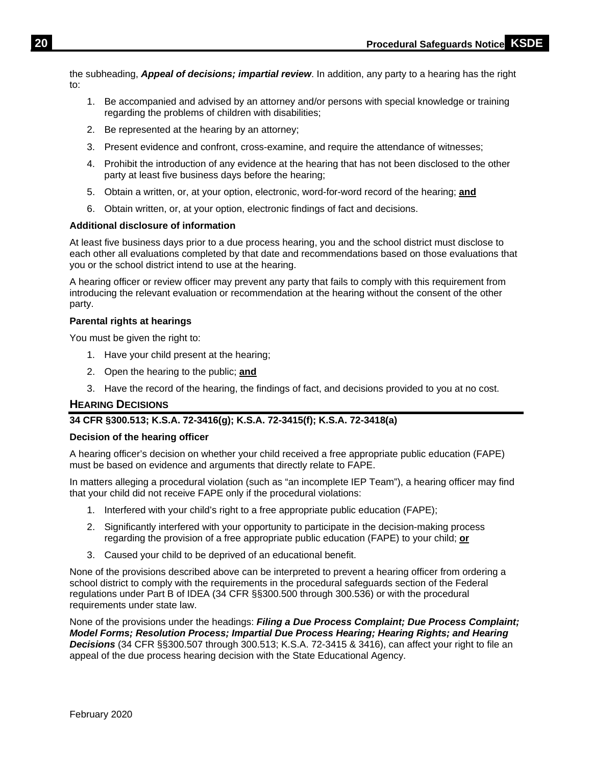the subheading, *Appeal of decisions; impartial review*. In addition, any party to a hearing has the right to:

- 1. Be accompanied and advised by an attorney and/or persons with special knowledge or training regarding the problems of children with disabilities;
- 2. Be represented at the hearing by an attorney;
- 3. Present evidence and confront, cross-examine, and require the attendance of witnesses;
- 4. Prohibit the introduction of any evidence at the hearing that has not been disclosed to the other party at least five business days before the hearing;
- 5. Obtain a written, or, at your option, electronic, word-for-word record of the hearing; **and**
- 6. Obtain written, or, at your option, electronic findings of fact and decisions.

## **Additional disclosure of information**

At least five business days prior to a due process hearing, you and the school district must disclose to each other all evaluations completed by that date and recommendations based on those evaluations that you or the school district intend to use at the hearing.

A hearing officer or review officer may prevent any party that fails to comply with this requirement from introducing the relevant evaluation or recommendation at the hearing without the consent of the other party.

#### **Parental rights at hearings**

You must be given the right to:

- 1. Have your child present at the hearing;
- 2. Open the hearing to the public; **and**
- 3. Have the record of the hearing, the findings of fact, and decisions provided to you at no cost.

#### <span id="page-23-0"></span>**HEARING DECISIONS**

## **34 CFR §300.513; K.S.A. 72-3416(g); K.S.A. 72-3415(f); K.S.A. 72-3418(a)**

#### **Decision of the hearing officer**

A hearing officer's decision on whether your child received a free appropriate public education (FAPE) must be based on evidence and arguments that directly relate to FAPE.

In matters alleging a procedural violation (such as "an incomplete IEP Team"), a hearing officer may find that your child did not receive FAPE only if the procedural violations:

- 1. Interfered with your child's right to a free appropriate public education (FAPE);
- 2. Significantly interfered with your opportunity to participate in the decision-making process regarding the provision of a free appropriate public education (FAPE) to your child; **or**
- 3. Caused your child to be deprived of an educational benefit.

None of the provisions described above can be interpreted to prevent a hearing officer from ordering a school district to comply with the requirements in the procedural safeguards section of the Federal regulations under Part B of IDEA (34 CFR §§300.500 through 300.536) or with the procedural requirements under state law.

None of the provisions under the headings: *Filing a Due Process Complaint; Due Process Complaint; Model Forms; Resolution Process; Impartial Due Process Hearing; Hearing Rights; and Hearing Decisions* (34 CFR §§300.507 through 300.513; K.S.A. 72-3415 & 3416), can affect your right to file an appeal of the due process hearing decision with the State Educational Agency.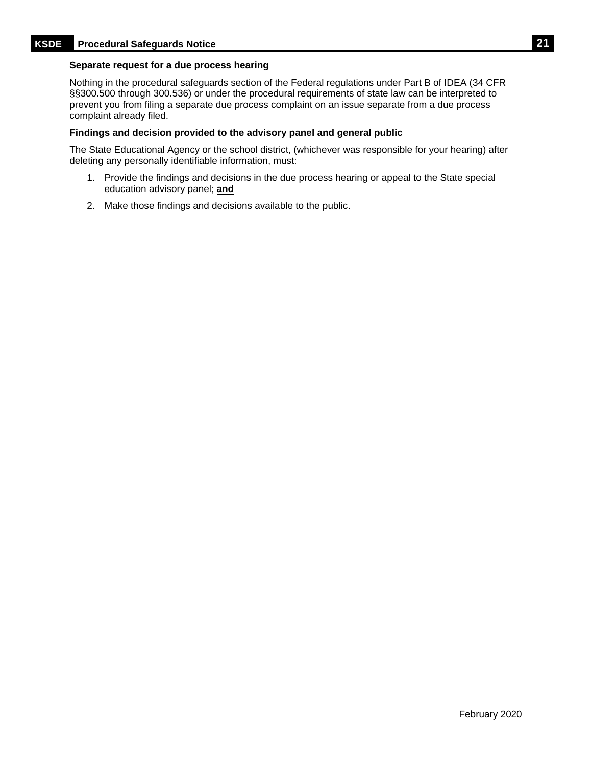#### **Separate request for a due process hearing**

Nothing in the procedural safeguards section of the Federal regulations under Part B of IDEA (34 CFR §§300.500 through 300.536) or under the procedural requirements of state law can be interpreted to prevent you from filing a separate due process complaint on an issue separate from a due process complaint already filed.

#### **Findings and decision provided to the advisory panel and general public**

The State Educational Agency or the school district, (whichever was responsible for your hearing) after deleting any personally identifiable information, must:

- 1. Provide the findings and decisions in the due process hearing or appeal to the State special education advisory panel; **and**
- 2. Make those findings and decisions available to the public.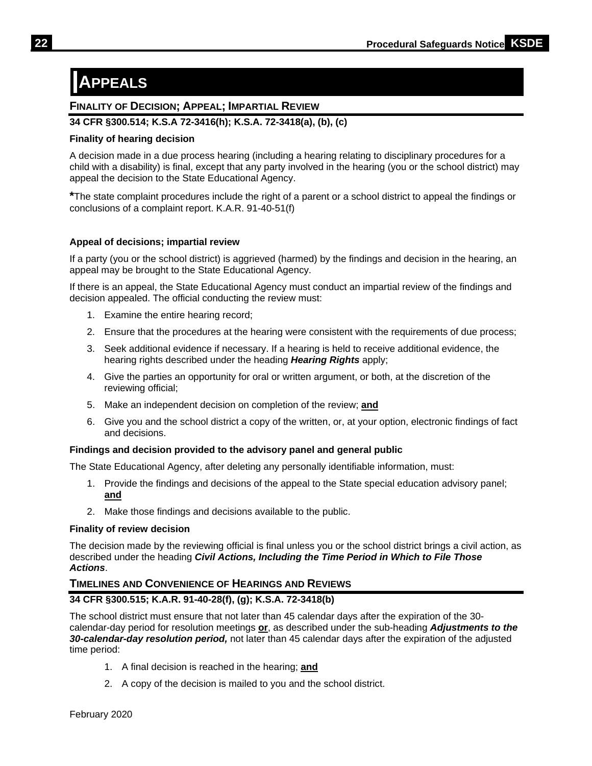# <span id="page-25-0"></span>**APPEALS**

# <span id="page-25-1"></span>**FINALITY OF DECISION; APPEAL; IMPARTIAL REVIEW**

## **34 CFR §300.514; K.S.A 72-3416(h); K.S.A. 72-3418(a), (b), (c)**

## **Finality of hearing decision**

A decision made in a due process hearing (including a hearing relating to disciplinary procedures for a child with a disability) is final, except that any party involved in the hearing (you or the school district) may appeal the decision to the State Educational Agency.

**\***The state complaint procedures include the right of a parent or a school district to appeal the findings or conclusions of a complaint report. K.A.R. 91-40-51(f)

## **Appeal of decisions; impartial review**

If a party (you or the school district) is aggrieved (harmed) by the findings and decision in the hearing, an appeal may be brought to the State Educational Agency.

If there is an appeal, the State Educational Agency must conduct an impartial review of the findings and decision appealed. The official conducting the review must:

- 1. Examine the entire hearing record;
- 2. Ensure that the procedures at the hearing were consistent with the requirements of due process;
- 3. Seek additional evidence if necessary. If a hearing is held to receive additional evidence, the hearing rights described under the heading *Hearing Rights* apply;
- 4. Give the parties an opportunity for oral or written argument, or both, at the discretion of the reviewing official;
- 5. Make an independent decision on completion of the review; **and**
- 6. Give you and the school district a copy of the written, or, at your option, electronic findings of fact and decisions.

## **Findings and decision provided to the advisory panel and general public**

The State Educational Agency, after deleting any personally identifiable information, must:

- 1. Provide the findings and decisions of the appeal to the State special education advisory panel; **and**
- 2. Make those findings and decisions available to the public.

## **Finality of review decision**

The decision made by the reviewing official is final unless you or the school district brings a civil action, as described under the heading *Civil Actions, Including the Time Period in Which to File Those Actions*.

# <span id="page-25-2"></span>**TIMELINES AND CONVENIENCE OF HEARINGS AND REVIEWS**

# **34 CFR §300.515; K.A.R. 91-40-28(f), (g); K.S.A. 72-3418(b)**

The school district must ensure that not later than 45 calendar days after the expiration of the 30 calendar-day period for resolution meetings **or**, as described under the sub-heading *Adjustments to the 30-calendar-day resolution period,* not later than 45 calendar days after the expiration of the adjusted time period:

- 1. A final decision is reached in the hearing; **and**
- 2. A copy of the decision is mailed to you and the school district.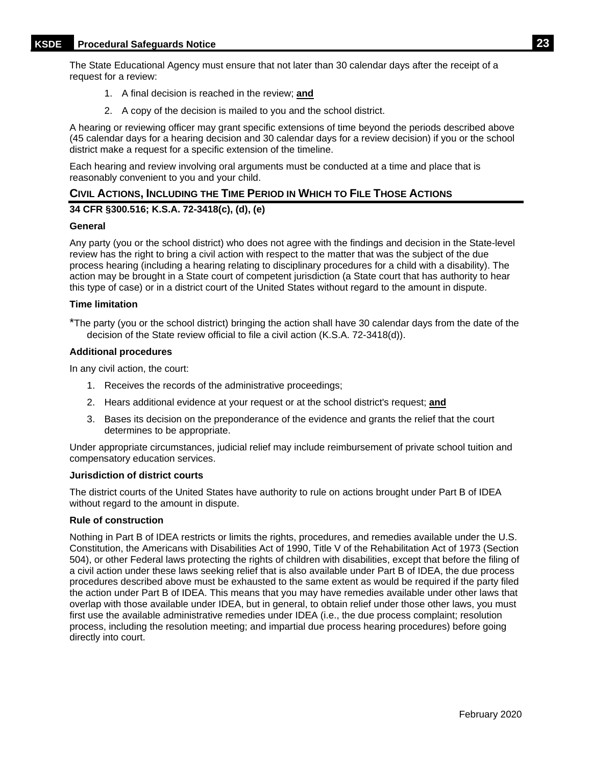The State Educational Agency must ensure that not later than 30 calendar days after the receipt of a request for a review:

- 1. A final decision is reached in the review; **and**
- 2. A copy of the decision is mailed to you and the school district.

A hearing or reviewing officer may grant specific extensions of time beyond the periods described above (45 calendar days for a hearing decision and 30 calendar days for a review decision) if you or the school district make a request for a specific extension of the timeline.

Each hearing and review involving oral arguments must be conducted at a time and place that is reasonably convenient to you and your child.

## <span id="page-26-0"></span>**CIVIL ACTIONS, INCLUDING THE TIME PERIOD IN WHICH TO FILE THOSE ACTIONS**

## **34 CFR §300.516; K.S.A. 72-3418(c), (d), (e)**

#### **General**

Any party (you or the school district) who does not agree with the findings and decision in the State-level review has the right to bring a civil action with respect to the matter that was the subject of the due process hearing (including a hearing relating to disciplinary procedures for a child with a disability). The action may be brought in a State court of competent jurisdiction (a State court that has authority to hear this type of case) or in a district court of the United States without regard to the amount in dispute.

#### **Time limitation**

\*The party (you or the school district) bringing the action shall have 30 calendar days from the date of the decision of the State review official to file a civil action (K.S.A. 72-3418(d)).

#### **Additional procedures**

In any civil action, the court:

- 1. Receives the records of the administrative proceedings;
- 2. Hears additional evidence at your request or at the school district's request; **and**
- 3. Bases its decision on the preponderance of the evidence and grants the relief that the court determines to be appropriate.

Under appropriate circumstances, judicial relief may include reimbursement of private school tuition and compensatory education services.

#### **Jurisdiction of district courts**

The district courts of the United States have authority to rule on actions brought under Part B of IDEA without regard to the amount in dispute.

#### **Rule of construction**

Nothing in Part B of IDEA restricts or limits the rights, procedures, and remedies available under the U.S. Constitution, the Americans with Disabilities Act of 1990, Title V of the Rehabilitation Act of 1973 (Section 504), or other Federal laws protecting the rights of children with disabilities, except that before the filing of a civil action under these laws seeking relief that is also available under Part B of IDEA, the due process procedures described above must be exhausted to the same extent as would be required if the party filed the action under Part B of IDEA. This means that you may have remedies available under other laws that overlap with those available under IDEA, but in general, to obtain relief under those other laws, you must first use the available administrative remedies under IDEA (i.e., the due process complaint; resolution process, including the resolution meeting; and impartial due process hearing procedures) before going directly into court.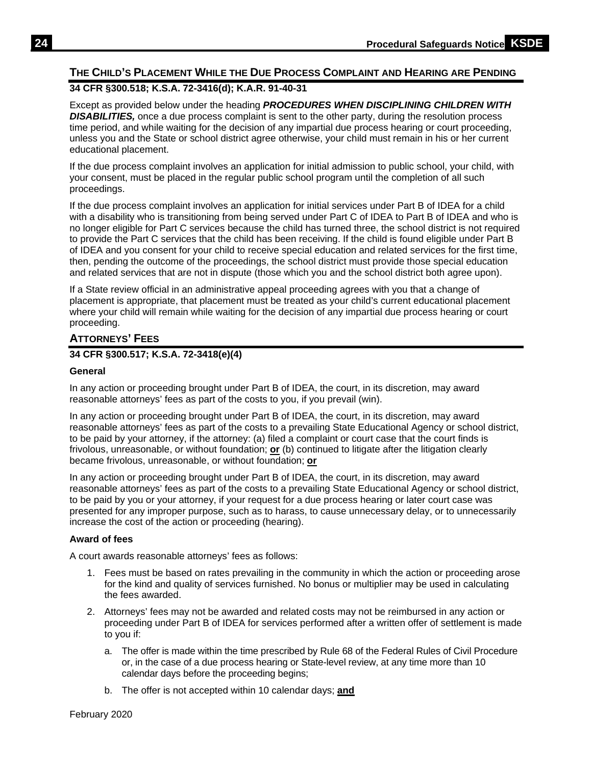# <span id="page-27-0"></span>**THE CHILD'S PLACEMENT WHILE THE DUE PROCESS COMPLAINT AND HEARING ARE PENDING**

# **34 CFR §300.518; K.S.A. 72-3416(d); K.A.R. 91-40-31**

Except as provided below under the heading *PROCEDURES WHEN DISCIPLINING CHILDREN WITH*  **DISABILITIES**, once a due process complaint is sent to the other party, during the resolution process time period, and while waiting for the decision of any impartial due process hearing or court proceeding, unless you and the State or school district agree otherwise, your child must remain in his or her current educational placement.

If the due process complaint involves an application for initial admission to public school, your child, with your consent, must be placed in the regular public school program until the completion of all such proceedings.

If the due process complaint involves an application for initial services under Part B of IDEA for a child with a disability who is transitioning from being served under Part C of IDEA to Part B of IDEA and who is no longer eligible for Part C services because the child has turned three, the school district is not required to provide the Part C services that the child has been receiving. If the child is found eligible under Part B of IDEA and you consent for your child to receive special education and related services for the first time, then, pending the outcome of the proceedings, the school district must provide those special education and related services that are not in dispute (those which you and the school district both agree upon).

If a State review official in an administrative appeal proceeding agrees with you that a change of placement is appropriate, that placement must be treated as your child's current educational placement where your child will remain while waiting for the decision of any impartial due process hearing or court proceeding.

## <span id="page-27-1"></span>**ATTORNEYS' FEES**

## **34 CFR §300.517; K.S.A. 72-3418(e)(4)**

#### **General**

In any action or proceeding brought under Part B of IDEA, the court, in its discretion, may award reasonable attorneys' fees as part of the costs to you, if you prevail (win).

In any action or proceeding brought under Part B of IDEA, the court, in its discretion, may award reasonable attorneys' fees as part of the costs to a prevailing State Educational Agency or school district, to be paid by your attorney, if the attorney: (a) filed a complaint or court case that the court finds is frivolous, unreasonable, or without foundation; **or** (b) continued to litigate after the litigation clearly became frivolous, unreasonable, or without foundation; **or**

In any action or proceeding brought under Part B of IDEA, the court, in its discretion, may award reasonable attorneys' fees as part of the costs to a prevailing State Educational Agency or school district, to be paid by you or your attorney, if your request for a due process hearing or later court case was presented for any improper purpose, such as to harass, to cause unnecessary delay, or to unnecessarily increase the cost of the action or proceeding (hearing).

#### **Award of fees**

A court awards reasonable attorneys' fees as follows:

- 1. Fees must be based on rates prevailing in the community in which the action or proceeding arose for the kind and quality of services furnished. No bonus or multiplier may be used in calculating the fees awarded.
- 2. Attorneys' fees may not be awarded and related costs may not be reimbursed in any action or proceeding under Part B of IDEA for services performed after a written offer of settlement is made to you if:
	- a. The offer is made within the time prescribed by Rule 68 of the Federal Rules of Civil Procedure or, in the case of a due process hearing or State-level review, at any time more than 10 calendar days before the proceeding begins;
	- b. The offer is not accepted within 10 calendar days; **and**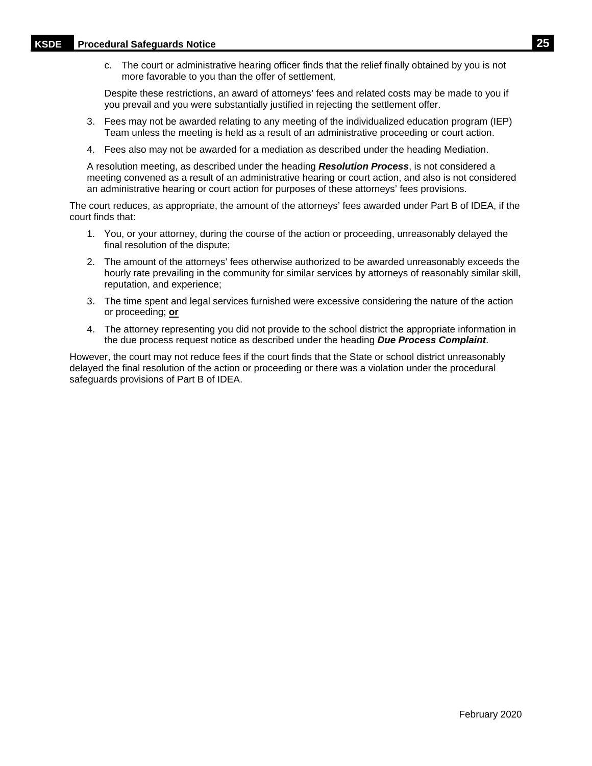# **KSDE Procedural Safeguards Notice 25**

c. The court or administrative hearing officer finds that the relief finally obtained by you is not more favorable to you than the offer of settlement.

Despite these restrictions, an award of attorneys' fees and related costs may be made to you if you prevail and you were substantially justified in rejecting the settlement offer.

- 3. Fees may not be awarded relating to any meeting of the individualized education program (IEP) Team unless the meeting is held as a result of an administrative proceeding or court action.
- 4. Fees also may not be awarded for a mediation as described under the heading Mediation.

A resolution meeting, as described under the heading *Resolution Process*, is not considered a meeting convened as a result of an administrative hearing or court action, and also is not considered an administrative hearing or court action for purposes of these attorneys' fees provisions.

The court reduces, as appropriate, the amount of the attorneys' fees awarded under Part B of IDEA, if the court finds that:

- 1. You, or your attorney, during the course of the action or proceeding, unreasonably delayed the final resolution of the dispute;
- 2. The amount of the attorneys' fees otherwise authorized to be awarded unreasonably exceeds the hourly rate prevailing in the community for similar services by attorneys of reasonably similar skill, reputation, and experience;
- 3. The time spent and legal services furnished were excessive considering the nature of the action or proceeding; **or**
- 4. The attorney representing you did not provide to the school district the appropriate information in the due process request notice as described under the heading *Due Process Complaint*.

However, the court may not reduce fees if the court finds that the State or school district unreasonably delayed the final resolution of the action or proceeding or there was a violation under the procedural safeguards provisions of Part B of IDEA.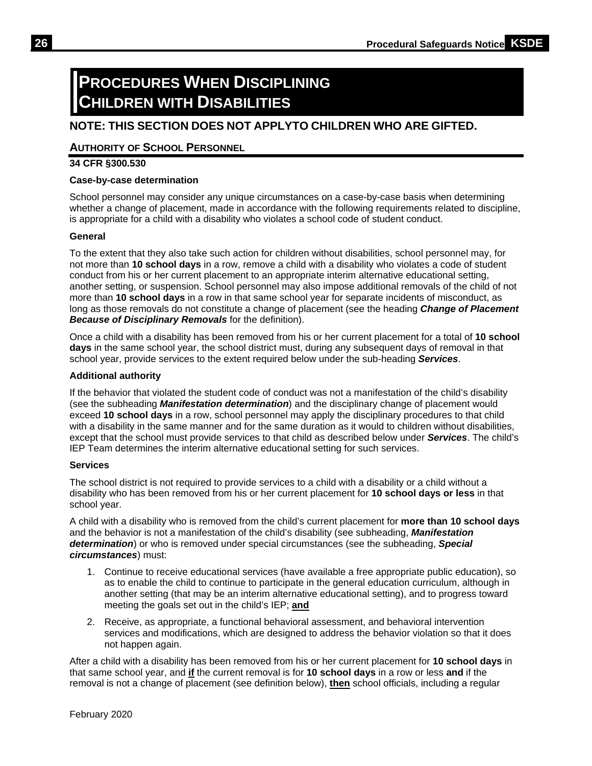# <span id="page-29-0"></span>**PROCEDURES WHEN DISCIPLINING CHILDREN WITH DISABILITIES**

# <span id="page-29-1"></span>**NOTE: THIS SECTION DOES NOT APPLYTO CHILDREN WHO ARE GIFTED.**

## **AUTHORITY OF SCHOOL PERSONNEL**

## **34 CFR §300.530**

## **Case-by-case determination**

School personnel may consider any unique circumstances on a case-by-case basis when determining whether a change of placement, made in accordance with the following requirements related to discipline, is appropriate for a child with a disability who violates a school code of student conduct.

## **General**

To the extent that they also take such action for children without disabilities, school personnel may, for not more than **10 school days** in a row, remove a child with a disability who violates a code of student conduct from his or her current placement to an appropriate interim alternative educational setting, another setting, or suspension. School personnel may also impose additional removals of the child of not more than **10 school days** in a row in that same school year for separate incidents of misconduct, as long as those removals do not constitute a change of placement (see the heading *Change of Placement Because of Disciplinary Removals* for the definition).

Once a child with a disability has been removed from his or her current placement for a total of **10 school days** in the same school year, the school district must, during any subsequent days of removal in that school year, provide services to the extent required below under the sub-heading *Services*.

## **Additional authority**

If the behavior that violated the student code of conduct was not a manifestation of the child's disability (see the subheading *Manifestation determination*) and the disciplinary change of placement would exceed **10 school days** in a row, school personnel may apply the disciplinary procedures to that child with a disability in the same manner and for the same duration as it would to children without disabilities, except that the school must provide services to that child as described below under *Services*. The child's IEP Team determines the interim alternative educational setting for such services.

#### **Services**

The school district is not required to provide services to a child with a disability or a child without a disability who has been removed from his or her current placement for **10 school days or less** in that school year.

A child with a disability who is removed from the child's current placement for **more than 10 school days** and the behavior is not a manifestation of the child's disability (see subheading, *Manifestation determination*) or who is removed under special circumstances (see the subheading, *Special circumstances*) must:

- 1. Continue to receive educational services (have available a free appropriate public education), so as to enable the child to continue to participate in the general education curriculum, although in another setting (that may be an interim alternative educational setting), and to progress toward meeting the goals set out in the child's IEP; **and**
- 2. Receive, as appropriate, a functional behavioral assessment, and behavioral intervention services and modifications, which are designed to address the behavior violation so that it does not happen again.

After a child with a disability has been removed from his or her current placement for **10 school days** in that same school year, and **if** the current removal is for **10 school days** in a row or less **and** if the removal is not a change of placement (see definition below), **then** school officials, including a regular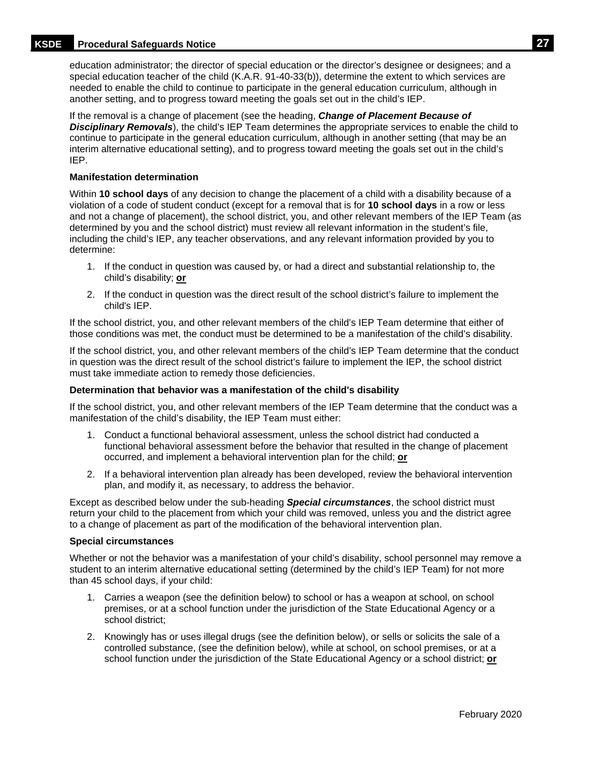## **KSDE Procedural Safeguards Notice 27**

education administrator; the director of special education or the director's designee or designees; and a special education teacher of the child (K.A.R. 91-40-33(b)), determine the extent to which services are needed to enable the child to continue to participate in the general education curriculum, although in another setting, and to progress toward meeting the goals set out in the child's IEP.

If the removal is a change of placement (see the heading, *Change of Placement Because of Disciplinary Removals*), the child's IEP Team determines the appropriate services to enable the child to continue to participate in the general education curriculum, although in another setting (that may be an interim alternative educational setting), and to progress toward meeting the goals set out in the child's IEP.

#### **Manifestation determination**

Within **10 school days** of any decision to change the placement of a child with a disability because of a violation of a code of student conduct (except for a removal that is for **10 school days** in a row or less and not a change of placement), the school district, you, and other relevant members of the IEP Team (as determined by you and the school district) must review all relevant information in the student's file, including the child's IEP, any teacher observations, and any relevant information provided by you to determine:

- 1. If the conduct in question was caused by, or had a direct and substantial relationship to, the child's disability; **or**
- 2. If the conduct in question was the direct result of the school district's failure to implement the child's IEP.

If the school district, you, and other relevant members of the child's IEP Team determine that either of those conditions was met, the conduct must be determined to be a manifestation of the child's disability.

If the school district, you, and other relevant members of the child's IEP Team determine that the conduct in question was the direct result of the school district's failure to implement the IEP, the school district must take immediate action to remedy those deficiencies.

#### **Determination that behavior was a manifestation of the child's disability**

If the school district, you, and other relevant members of the IEP Team determine that the conduct was a manifestation of the child's disability, the IEP Team must either:

- 1. Conduct a functional behavioral assessment, unless the school district had conducted a functional behavioral assessment before the behavior that resulted in the change of placement occurred, and implement a behavioral intervention plan for the child; **or**
- 2. If a behavioral intervention plan already has been developed, review the behavioral intervention plan, and modify it, as necessary, to address the behavior.

Except as described below under the sub-heading *Special circumstances*, the school district must return your child to the placement from which your child was removed, unless you and the district agree to a change of placement as part of the modification of the behavioral intervention plan.

#### **Special circumstances**

Whether or not the behavior was a manifestation of your child's disability, school personnel may remove a student to an interim alternative educational setting (determined by the child's IEP Team) for not more than 45 school days, if your child:

- 1. Carries a weapon (see the definition below) to school or has a weapon at school, on school premises, or at a school function under the jurisdiction of the State Educational Agency or a school district;
- 2. Knowingly has or uses illegal drugs (see the definition below), or sells or solicits the sale of a controlled substance, (see the definition below), while at school, on school premises, or at a school function under the jurisdiction of the State Educational Agency or a school district; **or**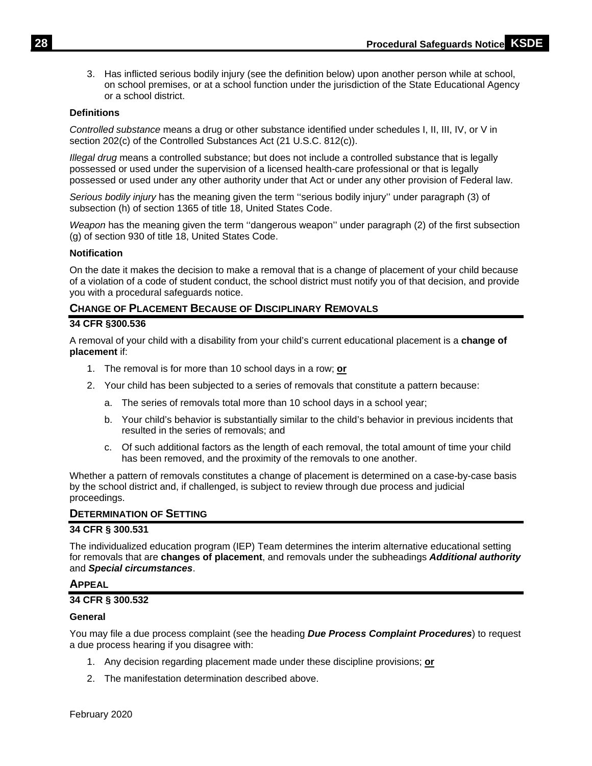3. Has inflicted serious bodily injury (see the definition below) upon another person while at school, on school premises, or at a school function under the jurisdiction of the State Educational Agency or a school district.

#### **Definitions**

*Controlled substance* means a drug or other substance identified under schedules I, II, III, IV, or V in section 202(c) of the Controlled Substances Act (21 U.S.C. 812(c)).

*Illegal drug* means a controlled substance; but does not include a controlled substance that is legally possessed or used under the supervision of a licensed health-care professional or that is legally possessed or used under any other authority under that Act or under any other provision of Federal law.

*Serious bodily injury* has the meaning given the term ''serious bodily injury'' under paragraph (3) of subsection (h) of section 1365 of title 18, United States Code.

*Weapon* has the meaning given the term ''dangerous weapon'' under paragraph (2) of the first subsection (g) of section 930 of title 18, United States Code.

#### **Notification**

On the date it makes the decision to make a removal that is a change of placement of your child because of a violation of a code of student conduct, the school district must notify you of that decision, and provide you with a procedural safeguards notice.

## <span id="page-31-0"></span>**CHANGE OF PLACEMENT BECAUSE OF DISCIPLINARY REMOVALS**

#### **34 CFR §300.536**

A removal of your child with a disability from your child's current educational placement is a **change of placement** if:

- 1. The removal is for more than 10 school days in a row; **or**
- 2. Your child has been subjected to a series of removals that constitute a pattern because:
	- a. The series of removals total more than 10 school days in a school year;
	- b. Your child's behavior is substantially similar to the child's behavior in previous incidents that resulted in the series of removals; and
	- c. Of such additional factors as the length of each removal, the total amount of time your child has been removed, and the proximity of the removals to one another.

Whether a pattern of removals constitutes a change of placement is determined on a case-by-case basis by the school district and, if challenged, is subject to review through due process and judicial proceedings.

#### <span id="page-31-1"></span>**DETERMINATION OF SETTING**

#### **34 CFR § 300.531**

The individualized education program (IEP) Team determines the interim alternative educational setting for removals that are **changes of placement**, and removals under the subheadings *Additional authority* and *Special circumstances*.

#### <span id="page-31-2"></span>**APPEAL**

#### **34 CFR § 300.532**

#### **General**

You may file a due process complaint (see the heading *Due Process Complaint Procedures*) to request a due process hearing if you disagree with:

- 1. Any decision regarding placement made under these discipline provisions; **or**
- 2. The manifestation determination described above.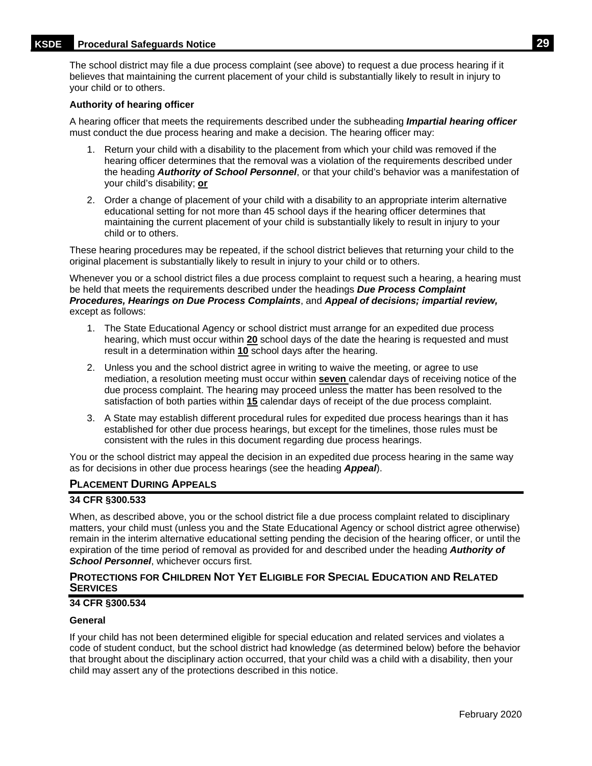## **KSDE Procedural Safeguards Notice 29**

The school district may file a due process complaint (see above) to request a due process hearing if it believes that maintaining the current placement of your child is substantially likely to result in injury to your child or to others.

#### **Authority of hearing officer**

A hearing officer that meets the requirements described under the subheading *Impartial hearing officer*  must conduct the due process hearing and make a decision. The hearing officer may:

- 1. Return your child with a disability to the placement from which your child was removed if the hearing officer determines that the removal was a violation of the requirements described under the heading *Authority of School Personnel*, or that your child's behavior was a manifestation of your child's disability; **or**
- 2. Order a change of placement of your child with a disability to an appropriate interim alternative educational setting for not more than 45 school days if the hearing officer determines that maintaining the current placement of your child is substantially likely to result in injury to your child or to others.

These hearing procedures may be repeated, if the school district believes that returning your child to the original placement is substantially likely to result in injury to your child or to others.

Whenever you or a school district files a due process complaint to request such a hearing, a hearing must be held that meets the requirements described under the headings *Due Process Complaint Procedures, Hearings on Due Process Complaints*, and *Appeal of decisions; impartial review,* except as follows:

- 1. The State Educational Agency or school district must arrange for an expedited due process hearing, which must occur within **20** school days of the date the hearing is requested and must result in a determination within **10** school days after the hearing.
- 2. Unless you and the school district agree in writing to waive the meeting, or agree to use mediation, a resolution meeting must occur within **seven** calendar days of receiving notice of the due process complaint. The hearing may proceed unless the matter has been resolved to the satisfaction of both parties within **15** calendar days of receipt of the due process complaint.
- 3. A State may establish different procedural rules for expedited due process hearings than it has established for other due process hearings, but except for the timelines, those rules must be consistent with the rules in this document regarding due process hearings.

You or the school district may appeal the decision in an expedited due process hearing in the same way as for decisions in other due process hearings (see the heading *Appeal*).

#### <span id="page-32-0"></span>**PLACEMENT DURING APPEALS**

#### **34 CFR §300.533**

When, as described above, you or the school district file a due process complaint related to disciplinary matters, your child must (unless you and the State Educational Agency or school district agree otherwise) remain in the interim alternative educational setting pending the decision of the hearing officer, or until the expiration of the time period of removal as provided for and described under the heading *Authority of School Personnel*, whichever occurs first.

## <span id="page-32-1"></span>**PROTECTIONS FOR CHILDREN NOT YET ELIGIBLE FOR SPECIAL EDUCATION AND RELATED SERVICES**

## **34 CFR §300.534**

#### **General**

If your child has not been determined eligible for special education and related services and violates a code of student conduct, but the school district had knowledge (as determined below) before the behavior that brought about the disciplinary action occurred, that your child was a child with a disability, then your child may assert any of the protections described in this notice.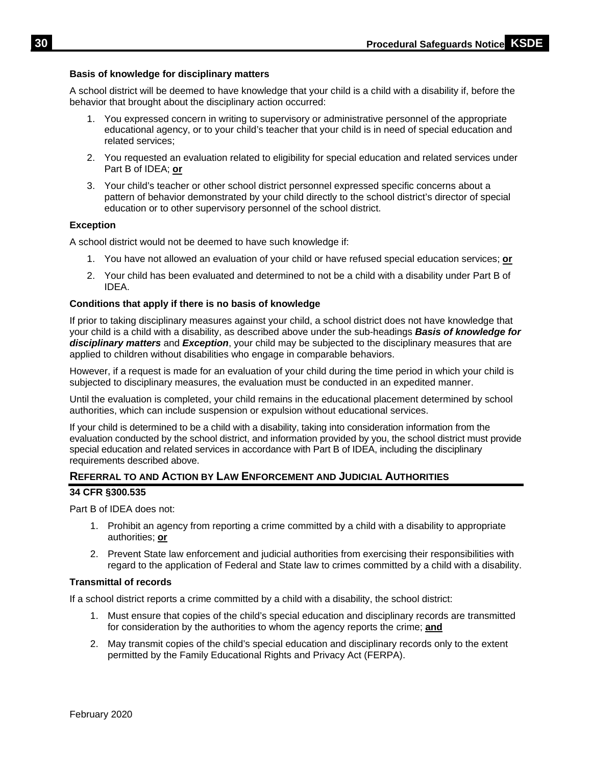## **Basis of knowledge for disciplinary matters**

A school district will be deemed to have knowledge that your child is a child with a disability if, before the behavior that brought about the disciplinary action occurred:

- 1. You expressed concern in writing to supervisory or administrative personnel of the appropriate educational agency, or to your child's teacher that your child is in need of special education and related services;
- 2. You requested an evaluation related to eligibility for special education and related services under Part B of IDEA; **or**
- 3. Your child's teacher or other school district personnel expressed specific concerns about a pattern of behavior demonstrated by your child directly to the school district's director of special education or to other supervisory personnel of the school district.

#### **Exception**

A school district would not be deemed to have such knowledge if:

- 1. You have not allowed an evaluation of your child or have refused special education services; **or**
- 2. Your child has been evaluated and determined to not be a child with a disability under Part B of IDEA.

## **Conditions that apply if there is no basis of knowledge**

If prior to taking disciplinary measures against your child, a school district does not have knowledge that your child is a child with a disability, as described above under the sub-headings *Basis of knowledge for disciplinary matters* and *Exception*, your child may be subjected to the disciplinary measures that are applied to children without disabilities who engage in comparable behaviors.

However, if a request is made for an evaluation of your child during the time period in which your child is subjected to disciplinary measures, the evaluation must be conducted in an expedited manner.

Until the evaluation is completed, your child remains in the educational placement determined by school authorities, which can include suspension or expulsion without educational services.

If your child is determined to be a child with a disability, taking into consideration information from the evaluation conducted by the school district, and information provided by you, the school district must provide special education and related services in accordance with Part B of IDEA, including the disciplinary requirements described above.

## <span id="page-33-0"></span>**REFERRAL TO AND ACTION BY LAW ENFORCEMENT AND JUDICIAL AUTHORITIES**

#### **34 CFR §300.535**

Part B of IDEA does not:

- 1. Prohibit an agency from reporting a crime committed by a child with a disability to appropriate authorities; **or**
- 2. Prevent State law enforcement and judicial authorities from exercising their responsibilities with regard to the application of Federal and State law to crimes committed by a child with a disability.

#### **Transmittal of records**

If a school district reports a crime committed by a child with a disability, the school district:

- 1. Must ensure that copies of the child's special education and disciplinary records are transmitted for consideration by the authorities to whom the agency reports the crime; **and**
- 2. May transmit copies of the child's special education and disciplinary records only to the extent permitted by the Family Educational Rights and Privacy Act (FERPA).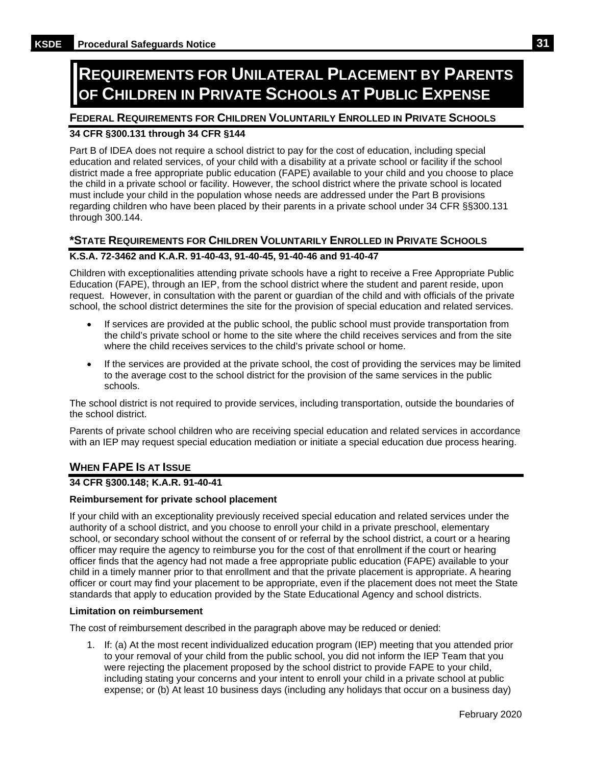# <span id="page-34-0"></span>**REQUIREMENTS FOR UNILATERAL PLACEMENT BY PARENTS OF CHILDREN IN PRIVATE SCHOOLS AT PUBLIC EXPENSE**

## <span id="page-34-1"></span>**FEDERAL REQUIREMENTS FOR CHILDREN VOLUNTARILY ENROLLED IN PRIVATE SCHOOLS**

# **34 CFR §300.131 through 34 CFR §144**

Part B of IDEA does not require a school district to pay for the cost of education, including special education and related services, of your child with a disability at a private school or facility if the school district made a free appropriate public education (FAPE) available to your child and you choose to place the child in a private school or facility. However, the school district where the private school is located must include your child in the population whose needs are addressed under the Part B provisions regarding children who have been placed by their parents in a private school under 34 CFR §§300.131 through 300.144.

## <span id="page-34-2"></span>**\*STATE REQUIREMENTS FOR CHILDREN VOLUNTARILY ENROLLED IN PRIVATE SCHOOLS**

# **K.S.A. 72-3462 and K.A.R. 91-40-43, 91-40-45, 91-40-46 and 91-40-47**

Children with exceptionalities attending private schools have a right to receive a Free Appropriate Public Education (FAPE), through an IEP, from the school district where the student and parent reside, upon request. However, in consultation with the parent or guardian of the child and with officials of the private school, the school district determines the site for the provision of special education and related services.

- If services are provided at the public school, the public school must provide transportation from the child's private school or home to the site where the child receives services and from the site where the child receives services to the child's private school or home.
- If the services are provided at the private school, the cost of providing the services may be limited to the average cost to the school district for the provision of the same services in the public schools.

The school district is not required to provide services, including transportation, outside the boundaries of the school district.

Parents of private school children who are receiving special education and related services in accordance with an IEP may request special education mediation or initiate a special education due process hearing.

# <span id="page-34-3"></span>**WHEN FAPE IS AT ISSUE**

#### **34 CFR §300.148; K.A.R. 91-40-41**

#### **Reimbursement for private school placement**

If your child with an exceptionality previously received special education and related services under the authority of a school district, and you choose to enroll your child in a private preschool, elementary school, or secondary school without the consent of or referral by the school district, a court or a hearing officer may require the agency to reimburse you for the cost of that enrollment if the court or hearing officer finds that the agency had not made a free appropriate public education (FAPE) available to your child in a timely manner prior to that enrollment and that the private placement is appropriate. A hearing officer or court may find your placement to be appropriate, even if the placement does not meet the State standards that apply to education provided by the State Educational Agency and school districts.

#### **Limitation on reimbursement**

The cost of reimbursement described in the paragraph above may be reduced or denied:

1. If: (a) At the most recent individualized education program (IEP) meeting that you attended prior to your removal of your child from the public school, you did not inform the IEP Team that you were rejecting the placement proposed by the school district to provide FAPE to your child, including stating your concerns and your intent to enroll your child in a private school at public expense; or (b) At least 10 business days (including any holidays that occur on a business day)